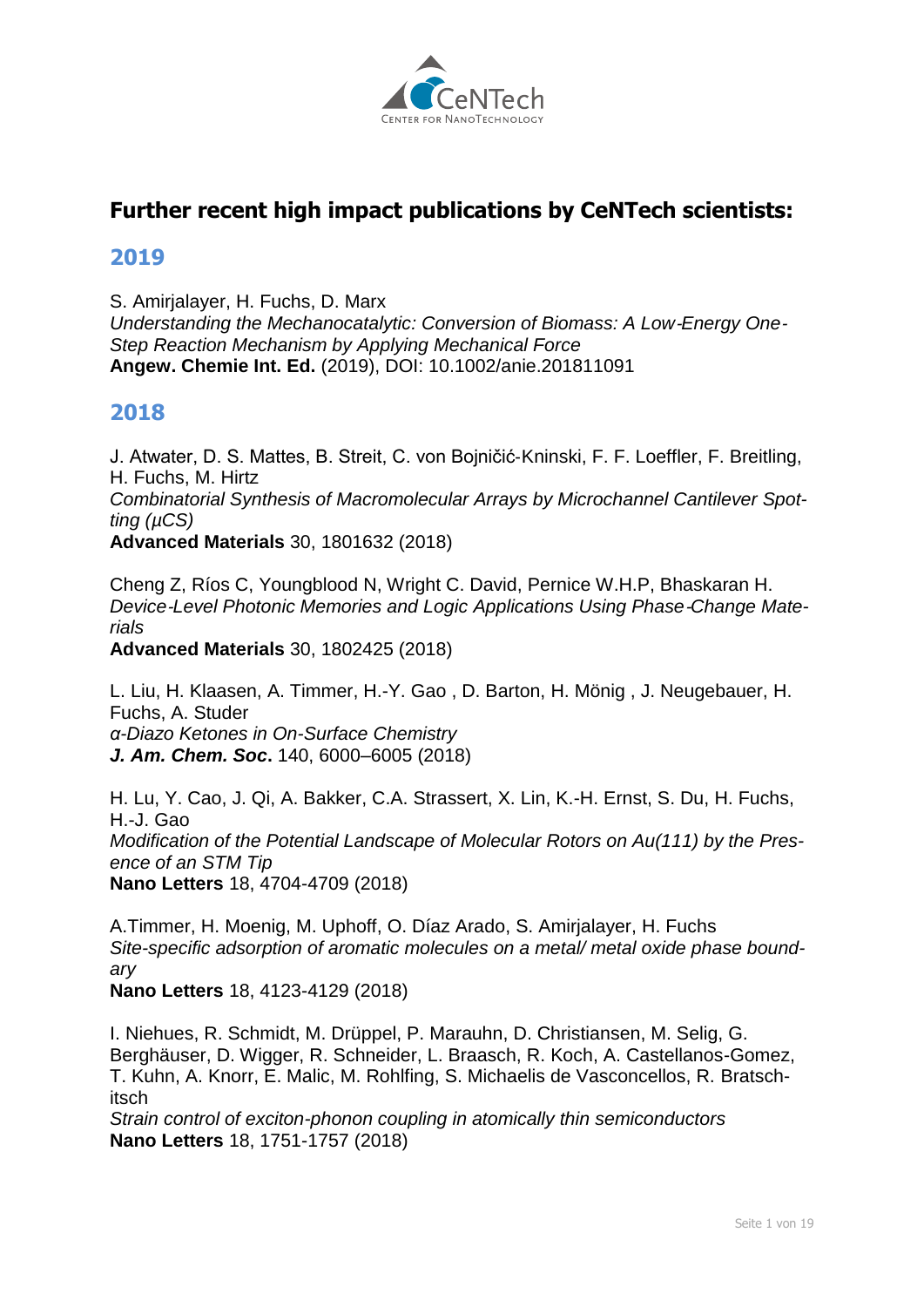

# **Further recent high impact publications by CeNTech scientists:**

#### **2019**

S. Amirjalayer, H. Fuchs, D. Marx *Understanding the Mechanocatalytic: Conversion of Biomass: A Low*‐*Energy One*‐ *Step Reaction Mechanism by Applying Mechanical Force* **Angew. Chemie Int. Ed.** (2019), DOI: 10.1002/anie.201811091

# **2018**

J. Atwater, D. S. Mattes, B. Streit, C. von Bojničić‐Kninski, F. F. Loeffler, F. Breitling, H. Fuchs, M. Hirtz *Combinatorial Synthesis of Macromolecular Arrays by Microchannel Cantilever Spotting (µCS)* **Advanced Materials** 30, 1801632 (2018)

Cheng Z, Ríos C, Youngblood N, Wright C. David, Pernice W.H.P, Bhaskaran H. *Device*‐*Level Photonic Memories and Logic Applications Using Phase*‐*Change Materials* 

**Advanced Materials** 30, 1802425 (2018)

[L. Liu,](http://www.uni-muenster.de/Physik.PI/Fuchs/groupmembers/groupmembers.html#liul) H. Klaasen, [A. Timmer,](http://www.uni-muenster.de/Physik.PI/Fuchs/groupmembers/groupmembers.html#a_timm01) [H.-Y. Gao](http://www.uni-muenster.de/Physik.PI/Fuchs/groupmembers/groupmembers.html#gaoh) , D. Barton, [H. Mönig](http://www.uni-muenster.de/Physik.PI/Fuchs/groupmembers/groupmembers.html#hmoen_01) , J. Neugebauer, [H.](http://www.uni-muenster.de/Physik.PI/Fuchs/groupmembers/groupmembers.html#fuchsh)  [Fuchs,](http://www.uni-muenster.de/Physik.PI/Fuchs/groupmembers/groupmembers.html#fuchsh) A. Studer *α-Diazo Ketones in On-Surface Chemistry J. Am. Chem. Soc***.** 140, 6000–6005 (2018)

H. Lu, Y. Cao, J. Qi, [A. Bakker,](http://www.uni-muenster.de/Physik.PI/Fuchs/groupmembers/groupmembers.html#abakk_01) C.A. Strassert, X. Lin, K.-H. Ernst, S. Du, [H. Fuchs,](http://www.uni-muenster.de/Physik.PI/Fuchs/groupmembers/groupmembers.html#fuchsh) H.-J. Gao *Modification of the Potential Landscape of Molecular Rotors on Au(111) by the Presence of an STM Tip* **Nano Letters** 18, 4704-4709 (2018)

[A.Timmer,](http://www.uni-muenster.de/Physik.PI/Fuchs/groupmembers/groupmembers.html#a_timm01) [H. Moenig,](http://www.uni-muenster.de/Physik.PI/Fuchs/groupmembers/groupmembers.html#hmoen_01) [M. Uphoff,](http://www.uni-muenster.de/Physik.PI/Fuchs/former_groupmembers/former_groupmembers.html#m_upho03) [O. Díaz Arado,](http://www.uni-muenster.de/Physik.PI/Fuchs/former_groupmembers/former_groupmembers.html#arado) [S. Amirjalayer,](http://www.uni-muenster.de/Physik.PI/Fuchs/groupmembers/groupmembers.html#samir_01) [H. Fuchs](http://www.uni-muenster.de/Physik.PI/Fuchs/groupmembers/groupmembers.html#fuchsh) *Site-specific adsorption of aromatic molecules on a metal/ metal oxide phase boundary*

**Nano Letters** 18, 4123-4129 (2018)

I. Niehues, R. Schmidt, M. Drüppel, P. Marauhn, D. Christiansen, M. Selig, G. Berghäuser, D. Wigger, R. Schneider, L. Braasch, R. Koch, A. Castellanos-Gomez, T. Kuhn, A. Knorr, E. Malic, M. Rohlfing, S. Michaelis de Vasconcellos, R. Bratschitsch

*Strain control of exciton-phonon coupling in atomically thin semiconductors* **Nano Letters** [18, 1751-1757 \(](http://pubs.acs.org/doi/10.1021/acs.nanolett.7b04868)2018)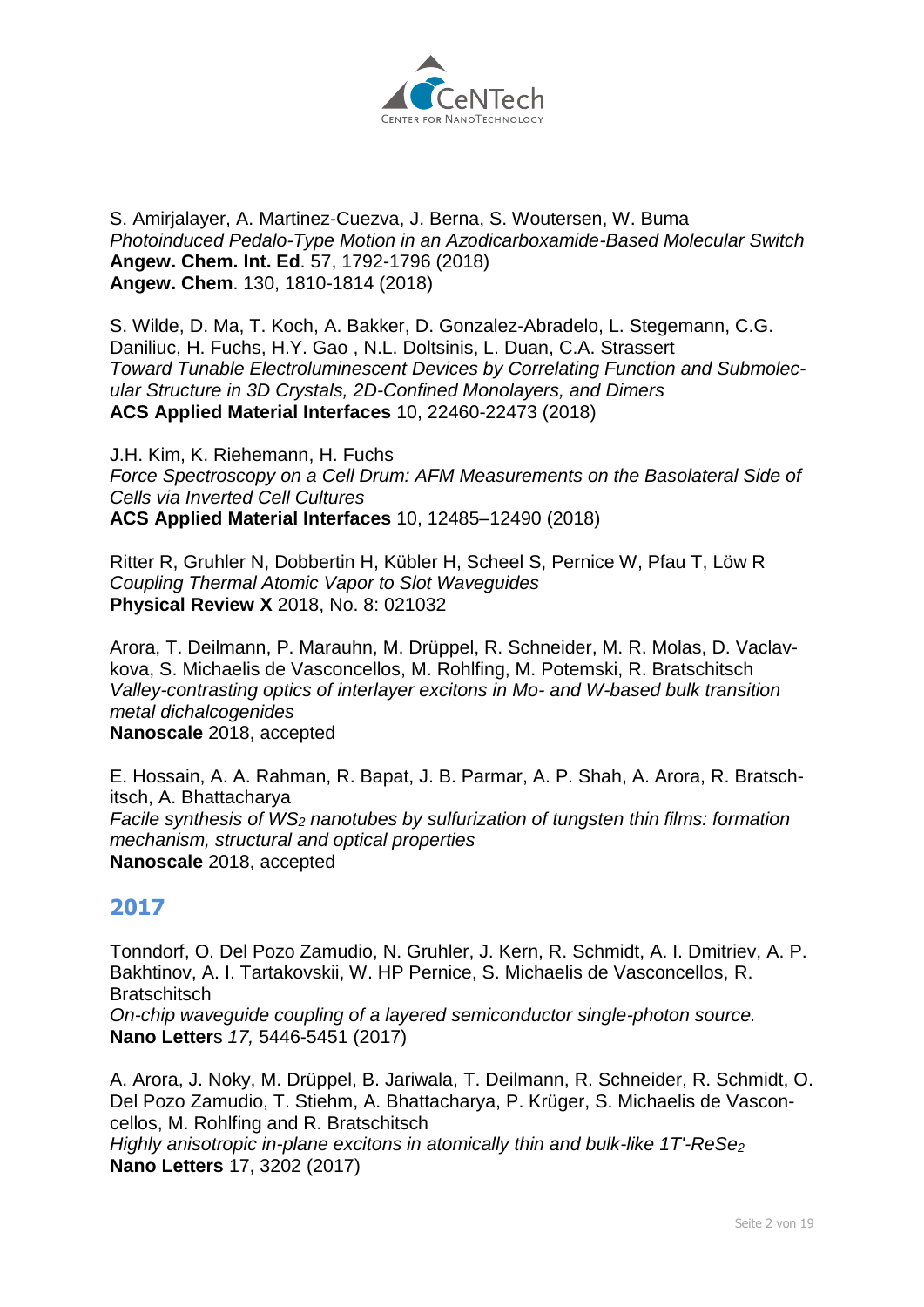

#### [S. Amirjalayer,](http://www.uni-muenster.de/Physik.PI/Fuchs/groupmembers/groupmembers.html#samir_01) A. Martinez-Cuezva, J. Berna, S. Woutersen, W. Buma *Photoinduced Pedalo-Type Motion in an Azodicarboxamide-Based Molecular Switch* **Angew. Chem. Int. Ed**. 57, 1792-1796 (2018) **Angew. Chem**. 130, 1810-1814 (2018)

S. Wilde, D. Ma, T. Koch, [A. Bakker,](http://www.uni-muenster.de/Physik.PI/Fuchs/groupmembers/groupmembers.html#abakk_01) D. Gonzalez-Abradelo, [L. Stegemann,](http://www.uni-muenster.de/Physik.PI/Fuchs/former_groupmembers/former_groupmembers.html#l_steg02) C.G. Daniliuc, [H. Fuchs,](http://www.uni-muenster.de/Physik.PI/Fuchs/groupmembers/groupmembers.html#fuchsh) [H.Y. Gao](http://www.uni-muenster.de/Physik.PI/Fuchs/groupmembers/groupmembers.html#gaoh) , N.L. Doltsinis, L. Duan, C.A. Strassert *Toward Tunable Electroluminescent Devices by Correlating Function and Submolecular Structure in 3D Crystals, 2D-Confined Monolayers, and Dimers* **ACS Applied Material Interfaces** 10, 22460-22473 (2018)

[J.H. Kim,](http://www.uni-muenster.de/Physik.PI/Fuchs/former_groupmembers/former_groupmembers.html#Kimjoo) [K. Riehemann,](http://www.uni-muenster.de/Physik.PI/Fuchs/groupmembers/groupmembers.html#riehema) [H. Fuchs](http://www.uni-muenster.de/Physik.PI/Fuchs/groupmembers/groupmembers.html#fuchsh) *Force Spectroscopy on a Cell Drum: AFM Measurements on the Basolateral Side of Cells via Inverted Cell Cultures* **ACS Applied Material Interfaces** 10, 12485–12490 (2018)

Ritter R, Gruhler N, Dobbertin H, Kübler H, Scheel S, Pernice W, Pfau T, Löw R *[Coupling Thermal Atomic Vapor to Slot Waveguides](https://www.uni-muenster.de/forschungaz/publication/139830?lang=en)* **Physical Review X** 2018, No. 8: 021032

Arora, T. Deilmann, P. Marauhn, M. Drüppel, R. Schneider, M. R. Molas, D. Vaclavkova, S. Michaelis de Vasconcellos, M. Rohlfing, M. Potemski, R. Bratschitsch *Valley-contrasting optics of interlayer excitons in Mo- and W-based bulk transition metal dichalcogenides* **Nanoscale** [2018, accepted](http://dx.doi.org/10.1039/C8NR03764G)

E. Hossain, A. A. Rahman, R. Bapat, J. B. Parmar, A. P. Shah, A. Arora, R. Bratschitsch, A. Bhattacharya *Facile synthesis of WS<sup>2</sup> nanotubes by sulfurization of tungsten thin films: formation mechanism, structural and optical properties* **Nanoscale** [2018, accepted](http://dx.doi.org/10.1039/C8NR03764G)

# **2017**

Tonndorf, O. Del Pozo Zamudio, N. Gruhler, J. Kern, R. Schmidt, A. I. Dmitriev, A. P. Bakhtinov, A. I. Tartakovskii, W. HP Pernice, S. Michaelis de Vasconcellos, R. **Bratschitsch** *[On-chip waveguide coupling of a layered semiconductor single-photon source.](https://www.uni-muenster.de/forschungaz/publication/141671?lang=en)* **Nano Letter**s *17,* 5446-5451 (2017)

A. Arora, J. Noky, M. Drüppel, B. Jariwala, T. Deilmann, R. Schneider, R. Schmidt, O. Del Pozo Zamudio, T. Stiehm, A. Bhattacharya, P. Krüger, S. Michaelis de Vasconcellos, M. Rohlfing and R. Bratschitsch

*Highly anisotropic in-plane excitons in atomically thin and bulk-like 1T'-ReSe<sup>2</sup>* **[Nano Letters](http://pubs.acs.org/doi/abs/10.1021/acs.nanolett.7b00765)** 17, 3202 (2017)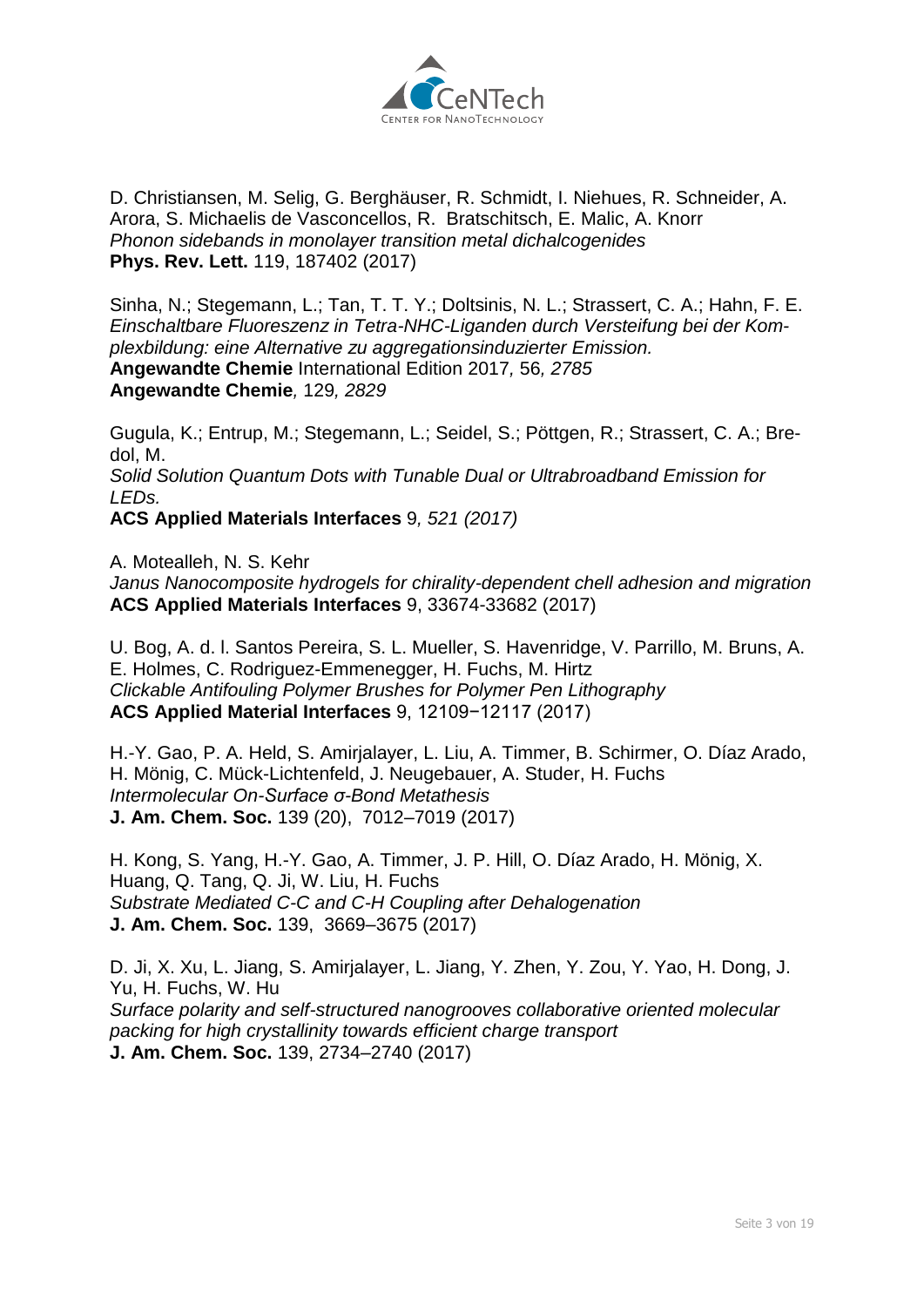

D. Christiansen, M. Selig, G. Berghäuser, R. Schmidt, I. Niehues, R. Schneider, A. Arora, S. Michaelis de Vasconcellos, R. Bratschitsch, E. Malic, A. Knorr *Phonon sidebands in monolayer transition metal dichalcogenides* **[Phys. Rev. Lett.](https://journals.aps.org/prl/accepted/eb079Y96N651d45fc7c33257350a16a9f098a5600)** 119, 187402 (2017)

Sinha, N.; Stegemann, L.; Tan, T. T. Y.; Doltsinis, N. L.; Strassert, C. A.; Hahn, F. E. *Einschaltbare Fluoreszenz in Tetra-NHC-Liganden durch Versteifung bei der Komplexbildung: eine Alternative zu aggregationsinduzierter Emission.* **Angewandte Chemie** International Edition 2017*,* 56*, 2785* **Angewandte Chemie***,* 129*, 2829*

Gugula, K.; Entrup, M.; Stegemann, L.; Seidel, S.; Pöttgen, R.; Strassert, C. A.; Bredol, M. *Solid Solution Quantum Dots with Tunable Dual or Ultrabroadband Emission for LEDs.* **ACS Applied Materials Interfaces** 9*, 521 (2017)*

[A. Motealleh,](http://www.uni-muenster.de/Physik.PI/Fuchs/groupmembers/groupmembers.html#motealle) [N. S. Kehr](http://www.uni-muenster.de/Physik.PI/Fuchs/groupmembers/groupmembers.html#seda)

*Janus Nanocomposite hydrogels for chirality-dependent chell adhesion and migration* **ACS Applied Materials Interfaces** 9, 33674-33682 (2017)

U. Bog, A. d. l. Santos Pereira, S. L. Mueller, S. Havenridge, V. Parrillo, M. Bruns, A. E. Holmes, C. Rodriguez-Emmenegger, [H. Fuchs,](http://www.uni-muenster.de/Physik.PI/Fuchs/groupmembers/groupmembers.html#fuchsh) [M. Hirtz](http://www.uni-muenster.de/Physik.PI/Fuchs/former_groupmembers/former_groupmembers.html#hirtz) *Clickable Antifouling Polymer Brushes for Polymer Pen Lithography* **ACS Applied Material Interfaces** 9, 12109−12117 (2017)

[H.-Y. Gao,](http://www.uni-muenster.de/Physik.PI/Fuchs/groupmembers/groupmembers.html#gaoh) P. A. Held, [S. Amirjalayer,](http://www.uni-muenster.de/Physik.PI/Fuchs/groupmembers/groupmembers.html#samir_01) [L. Liu,](http://www.uni-muenster.de/Physik.PI/Fuchs/groupmembers/groupmembers.html#liul) [A. Timmer,](http://www.uni-muenster.de/Physik.PI/Fuchs/groupmembers/groupmembers.html#a_timm01) B. Schirmer, [O. Díaz Arado,](http://www.uni-muenster.de/Physik.PI/Fuchs/former_groupmembers/former_groupmembers.html#arado) [H. Mönig,](http://www.uni-muenster.de/Physik.PI/Fuchs/groupmembers/groupmembers.html#hmoen_01) C. Mück-Lichtenfeld, J. Neugebauer, A. Studer, [H. Fuchs](http://www.uni-muenster.de/Physik.PI/Fuchs/groupmembers/groupmembers.html#fuchsh) *Intermolecular On-Surface σ-Bond Metathesis* **J. Am. Chem. Soc.** 139 (20), 7012–7019 (2017)

H. Kong, S. Yang, [H.-Y. Gao,](http://www.uni-muenster.de/Physik.PI/Fuchs/groupmembers/groupmembers.html#gaoh) [A. Timmer,](http://www.uni-muenster.de/Physik.PI/Fuchs/groupmembers/groupmembers.html#a_timm01) J. P. Hill, [O. Díaz Arado,](http://www.uni-muenster.de/Physik.PI/Fuchs/former_groupmembers/former_groupmembers.html#arado) [H. Mönig,](http://www.uni-muenster.de/Physik.PI/Fuchs/groupmembers/groupmembers.html#hmoen_01) X. Huang, Q. Tang, Q. Ji, W. Liu, [H. Fuchs](http://www.uni-muenster.de/Physik.PI/Fuchs/groupmembers/groupmembers.html#fuchsh) *Substrate Mediated C-C and C-H Coupling after Dehalogenation* **J. Am. Chem. Soc.** 139, 3669–3675 (2017)

[D. Ji,](http://www.uni-muenster.de/Physik.PI/Fuchs/groupmembers/groupmembers.html#ji) X. Xu, L. Jiang, [S. Amirjalayer,](http://www.uni-muenster.de/Physik.PI/Fuchs/groupmembers/groupmembers.html#samir_01) L. Jiang, Y. Zhen, Y. Zou, Y. Yao, H. Dong, J. Yu, [H. Fuchs,](http://www.uni-muenster.de/Physik.PI/Fuchs/groupmembers/groupmembers.html#fuchsh) W. Hu *Surface polarity and self-structured nanogrooves collaborative oriented molecular packing for high crystallinity towards efficient charge transport* **J. Am. Chem. Soc.** 139, 2734–2740 (2017)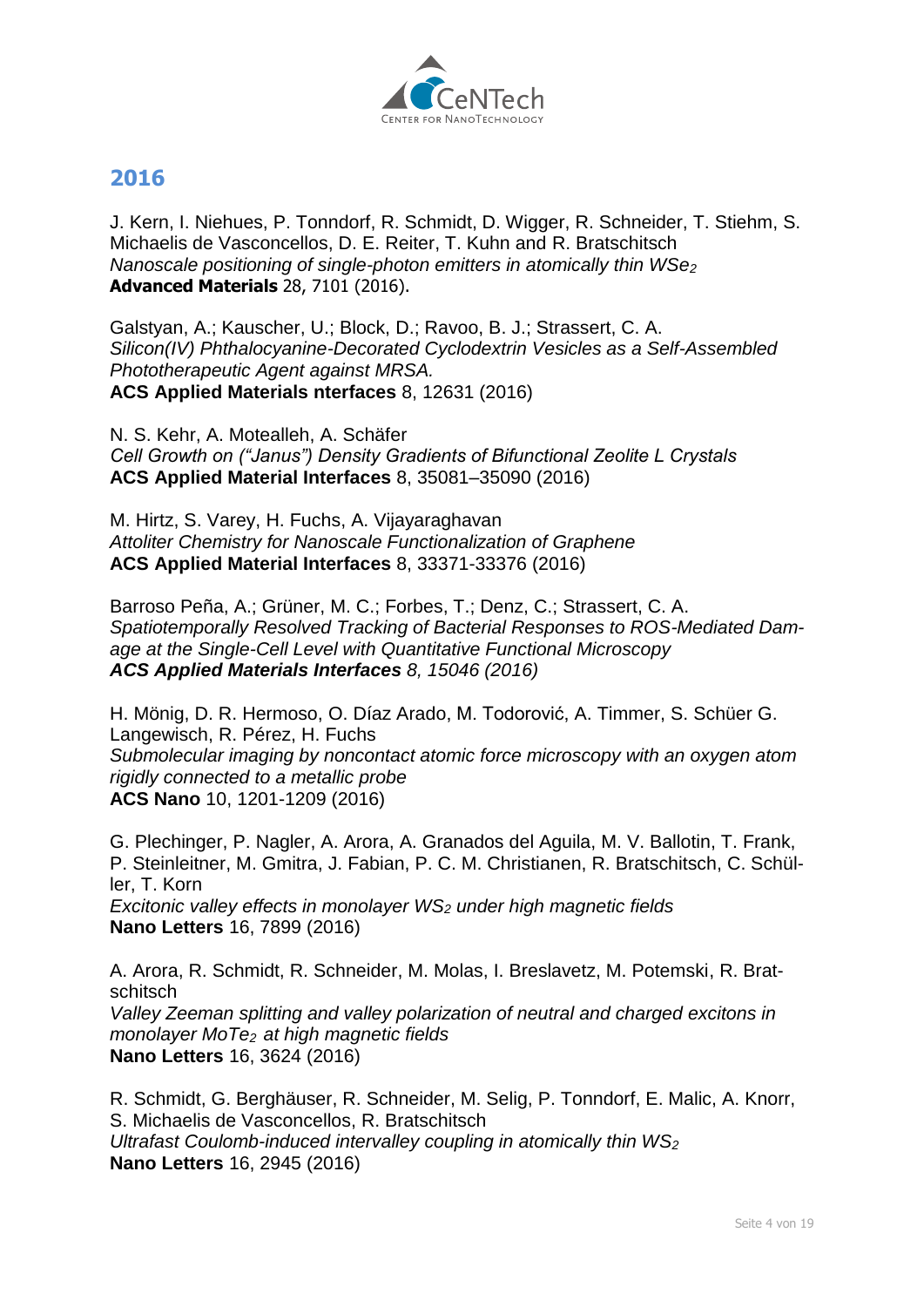

#### **2016**

J. Kern, I. Niehues, P. Tonndorf, R. Schmidt, D. Wigger, R. Schneider, T. Stiehm, S. Michaelis de Vasconcellos, D. E. Reiter, T. Kuhn and R. Bratschitsch *Nanoscale positioning of single-photon emitters in atomically thin WSe<sup>2</sup>* **[Advanced Materials](http://onlinelibrary.wiley.com/doi/10.1002/adma.201600560/abstract)** 28, 7101 (2016).

Galstyan, A.; Kauscher, U.; Block, D.; Ravoo, B. J.; Strassert, C. A. *Silicon(IV) Phthalocyanine-Decorated Cyclodextrin Vesicles as a Self-Assembled Phototherapeutic Agent against MRSA.*  **ACS Applied Materials nterfaces** 8, 12631 (2016)

[N. S. Kehr,](http://www.uni-muenster.de/Physik.PI/Fuchs/groupmembers/groupmembers.html#seda) [A. Motealleh,](http://www.uni-muenster.de/Physik.PI/Fuchs/groupmembers/groupmembers.html#motealle) A. Schäfer *Cell Growth on ("Janus") Density Gradients of Bifunctional Zeolite L Crystals* **ACS Applied Material Interfaces** 8, 35081–35090 (2016)

[M. Hirtz,](http://www.uni-muenster.de/Physik.PI/Fuchs/former_groupmembers/former_groupmembers.html#hirtz) S. Varey, [H. Fuchs,](http://www.uni-muenster.de/Physik.PI/Fuchs/groupmembers/groupmembers.html#fuchsh) A. Vijayaraghavan *Attoliter Chemistry for Nanoscale Functionalization of Graphene* **ACS Applied Material Interfaces** 8, 33371-33376 (2016)

Barroso Peña, A.; Grüner, M. C.; Forbes, T.; Denz, C.; Strassert, C. A. *Spatiotemporally Resolved Tracking of Bacterial Responses to ROS-Mediated Damage at the Single-Cell Level with Quantitative Functional Microscopy ACS Applied Materials Interfaces 8, 15046 (2016)*

[H. Mönig,](http://www.uni-muenster.de/Physik.PI/Fuchs/groupmembers/groupmembers.html#hmoen_01) D. R. Hermoso, [O. Díaz Arado,](http://www.uni-muenster.de/Physik.PI/Fuchs/former_groupmembers/former_groupmembers.html#arado) M. Todorović, [A. Timmer,](http://www.uni-muenster.de/Physik.PI/Fuchs/groupmembers/groupmembers.html#a_timm01) S. Schüer [G.](https://www.uni-muenster.de/Physik.PI/Fuchs/former_groupmembers/former_groupmembers.html#g_lang02)  [Langewisch,](https://www.uni-muenster.de/Physik.PI/Fuchs/former_groupmembers/former_groupmembers.html#g_lang02) R. Pérez, [H. Fuchs](https://www.uni-muenster.de/Physik.PI/Fuchs/groupmembers/groupmembers.html#fuchsh) *Submolecular imaging by noncontact atomic force microscopy with an oxygen atom rigidly connected to a metallic probe* **ACS Nano** 10, 1201-1209 (2016)

G. Plechinger, P. Nagler, A. Arora, A. Granados del Aguila, M. V. Ballotin, T. Frank, P. Steinleitner, M. Gmitra, J. Fabian, P. C. M. Christianen, R. Bratschitsch, C. Schüller, T. Korn *[Excitonic valley effects in monolayer WS](http://pubs.acs.org/doi/abs/10.1021/acs.nanolett.6b04171)<sup>2</sup> under high magnetic fields* **[Nano Letters](http://pubs.acs.org/doi/abs/10.1021/acs.nanolett.6b04171)** 16, 7899 (2016)

A. Arora, R. Schmidt, R. Schneider, M. Molas, I. Breslavetz, M. Potemski, R. Bratschitsch *Valley Zeeman splitting and valley polarization of neutral and charged excitons in monolayer MoTe<sup>2</sup> at high magnetic fields* **[Nano Letters](http://pubs.acs.org/doi/abs/10.1021/acs.nanolett.6b00748)** 16, 3624 (2016)

R. Schmidt, G. Berghäuser, R. Schneider, M. Selig, P. Tonndorf, E. Malic, A. Knorr, S. Michaelis de Vasconcellos, R. Bratschitsch *Ultrafast Coulomb-induced intervalley coupling in atomically thin WS<sup>2</sup>* **[Nano Letters](http://pubs.acs.org/doi/abs/10.1021/acs.nanolett.5b04733)** 16, 2945 (2016)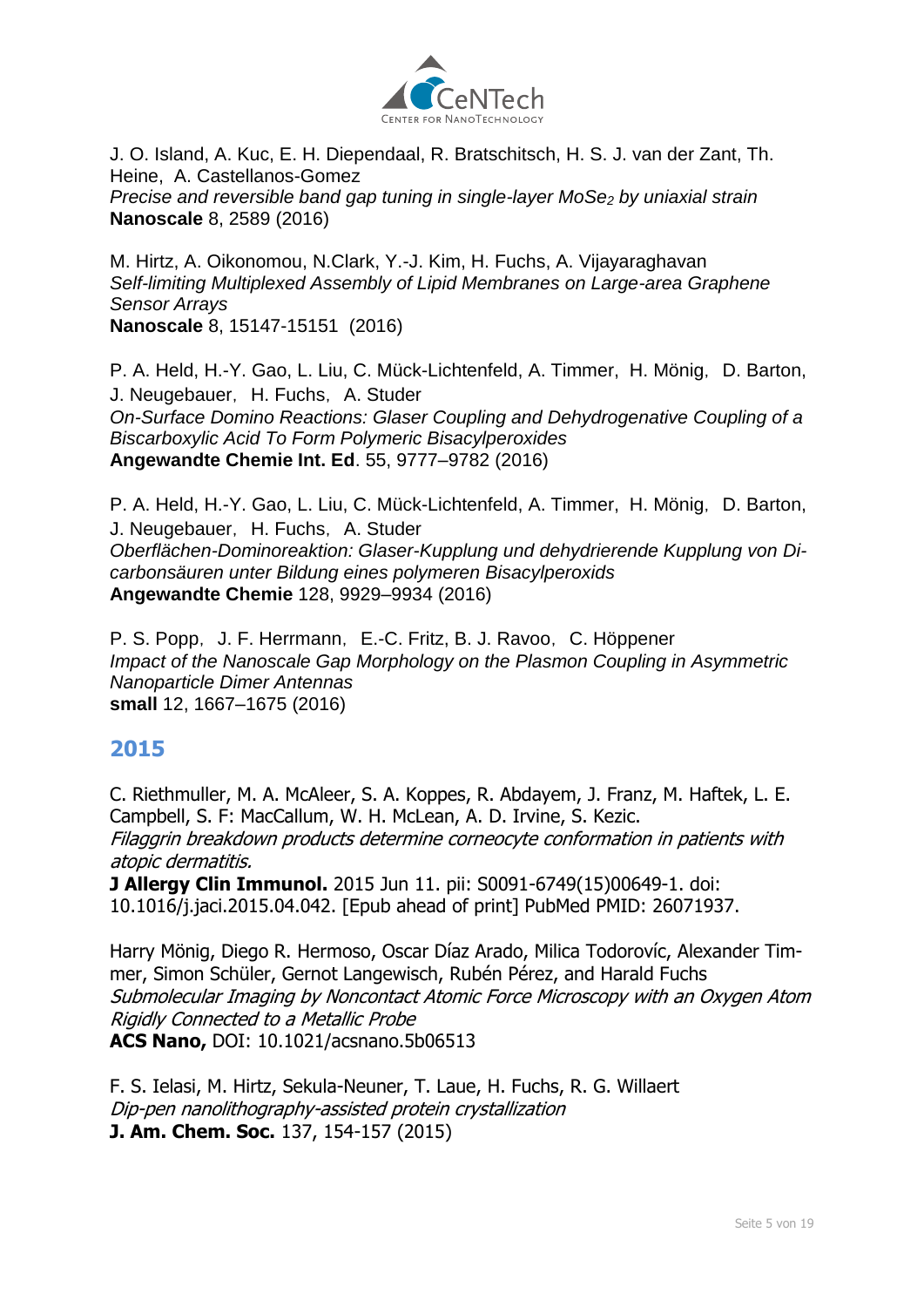

J. O. Island, A. Kuc, E. H. Diependaal, R. Bratschitsch, H. S. J. van der Zant, Th. Heine, A. Castellanos-Gomez *Precise and reversible band gap tuning in single-layer MoSe<sup>2</sup> by uniaxial strain* **[Nanoscale](http://dx.doi.org/10.1039/C5NR08219F)** 8, 2589 (2016)

[M. Hirtz,](http://www.uni-muenster.de/Physik.PI/Fuchs/former_groupmembers/former_groupmembers.html#hirtz) A. Oikonomou, N.Clark, Y.-J. Kim, [H. Fuchs,](http://www.uni-muenster.de/Physik.PI/Fuchs/groupmembers/groupmembers.html#fuchsh) A. Vijayaraghavan *Self-limiting Multiplexed Assembly of Lipid Membranes on Large-area Graphene Sensor Arrays* **Nanoscale** 8, 15147-15151 (2016)

P. A. Held, [H.-Y. Gao,](http://www.uni-muenster.de/Physik.PI/Fuchs/groupmembers/groupmembers.html#gaoh) [L. Liu,](http://www.uni-muenster.de/Physik.PI/Fuchs/groupmembers/groupmembers.html#liul) C. Mück-Lichtenfeld, [A. Timmer,](http://www.uni-muenster.de/Physik.PI/Fuchs/groupmembers/groupmembers.html#a_timm01) [H. Mönig](http://www.uni-muenster.de/Physik.PI/Fuchs/groupmembers/groupmembers.html#hmoen_01), D. Barton, J. Neugebauer, [H. Fuchs](http://www.uni-muenster.de/Physik.PI/Fuchs/groupmembers/groupmembers.html#fuchsh), A. Studer *On-Surface Domino Reactions: Glaser Coupling and Dehydrogenative Coupling of a Biscarboxylic Acid To Form Polymeric Bisacylperoxides* **Angewandte Chemie Int. Ed**. 55, 9777–9782 (2016)

P. A. Held, [H.-Y. Gao,](http://www.uni-muenster.de/Physik.PI/Fuchs/groupmembers/groupmembers.html#gaoh) [L. Liu,](http://www.uni-muenster.de/Physik.PI/Fuchs/groupmembers/groupmembers.html#liul) C. Mück-Lichtenfeld, [A. Timmer,](http://www.uni-muenster.de/Physik.PI/Fuchs/groupmembers/groupmembers.html#a_timm01) [H. Mönig](http://www.uni-muenster.de/Physik.PI/Fuchs/groupmembers/groupmembers.html#hmoen_01), D. Barton, J. Neugebauer, [H. Fuchs](http://www.uni-muenster.de/Physik.PI/Fuchs/groupmembers/groupmembers.html#fuchsh), A. Studer *Oberflächen-Dominoreaktion: Glaser-Kupplung und dehydrierende Kupplung von Dicarbonsäuren unter Bildung eines polymeren Bisacylperoxids* **Angewandte Chemie** 128, 9929–9934 (2016)

[P. S. Popp](http://www.uni-muenster.de/Physik.PI/Fuchs/former_groupmembers/former_groupmembers.html#p_popp03), [J. F. Herrmann](http://www.uni-muenster.de/Physik.PI/Fuchs/groupmembers/groupmembers.html#j_herr01), E.-C. Fritz, B. J. Ravoo, [C. Höppener](http://www.uni-muenster.de/Physik.PI/Fuchs/former_groupmembers/former_groupmembers.html#choep_01) *Impact of the Nanoscale Gap Morphology on the Plasmon Coupling in Asymmetric Nanoparticle Dimer Antennas*  **small** 12, 1667–1675 (2016)

#### **2015**

C. Riethmuller, M. A. McAleer, S. A. Koppes, R. Abdayem, J. Franz, M. Haftek, L. E. Campbell, S. F: MacCallum, W. H. McLean, A. D. Irvine, S. Kezic. Filaggrin breakdown products determine corneocyte conformation in patients with atopic dermatitis.

**J Allergy Clin Immunol.** 2015 Jun 11. pii: S0091-6749(15)00649-1. doi: 10.1016/j.jaci.2015.04.042. [Epub ahead of print] PubMed PMID: 26071937.

Harry Mönig, Diego R. Hermoso, Oscar Díaz Arado, Milica Todorovíc, Alexander Timmer, Simon Schüler, Gernot Langewisch, Rubén Pérez, and Harald Fuchs Submolecular Imaging by Noncontact Atomic Force Microscopy with an Oxygen Atom Rigidly Connected to a Metallic Probe **ACS Nano,** DOI: 10.1021/acsnano.5b06513

F. S. Ielasi, [M. Hirtz,](file://///SRV1-TF-MS/Physik.PI/Fuchs/former_groupmembers/former_groupmembers.html) Sekula-Neuner, [T. Laue,](file://///SRV1-TF-MS/Physik.PI/Fuchs/former_groupmembers/former_groupmembers.html) [H. Fuchs,](file://///SRV1-TF-MS/Physik.PI/Fuchs/groupmembers/groupmembers.html) R. G. Willaert Dip-pen nanolithography-assisted protein crystallization **J. Am. Chem. Soc.** 137, 154-157 (2015)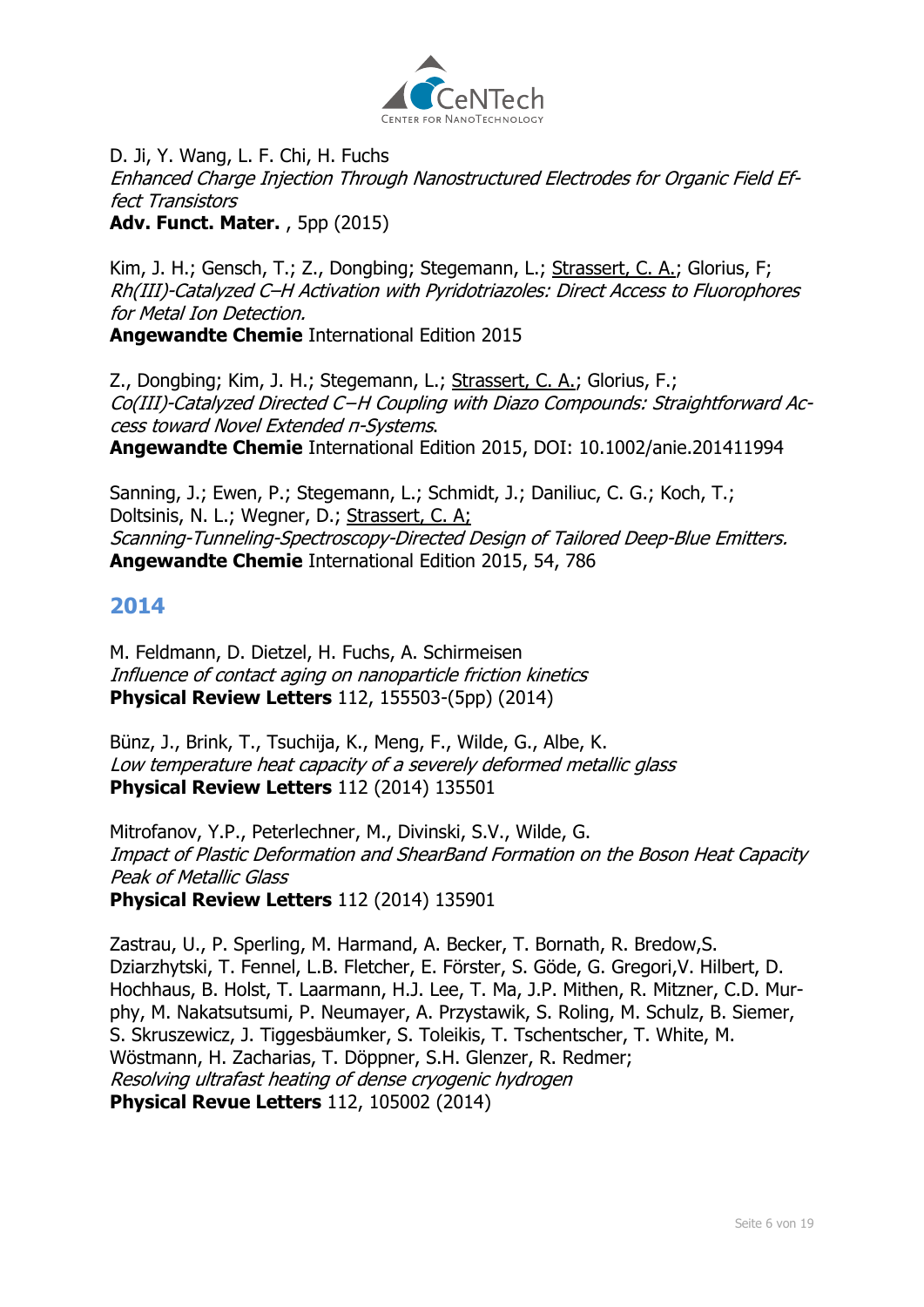

[D. Ji,](http://www.uni-muenster.de/Physik.PI/Fuchs/groupmembers/groupmembers.html) Y. Wang, [L. F. Chi, H. Fuchs](http://www.uni-muenster.de/Physik.PI/Fuchs/groupmembers/groupmembers.html) Enhanced Charge Injection Through Nanostructured Electrodes for Organic Field Effect Transistors **Adv. Funct. Mater.** , 5pp (2015)

Kim, J. H.; Gensch, T.; Z., Dongbing; Stegemann, L.; Strassert, C. A.; Glorius, F; Rh(III)-Catalyzed C–H Activation with Pyridotriazoles: Direct Access to Fluorophores for Metal Ion Detection.

**Angewandte Chemie** International Edition 2015

Z., Dongbing; Kim, J. H.; Stegemann, L.; Strassert, C. A.; Glorius, F.; Co(III)-Catalyzed Directed C−H Coupling with Diazo Compounds: Straightforward Access toward Novel Extended π-Systems. **Angewandte Chemie** International Edition 2015, DOI: 10.1002/anie.201411994

Sanning, J.; Ewen, P.; Stegemann, L.; Schmidt, J.; Daniliuc, C. G.; Koch, T.; Doltsinis, N. L.; Wegner, D.; Strassert, C. A; Scanning-Tunneling-Spectroscopy-Directed Design of Tailored Deep-Blue Emitters. **Angewandte Chemie** International Edition 2015, 54, 786

# **2014**

[M. Feldmann, D. Dietzel,](file:///C:/Physik.PI/Fuchs/former_groupmembers/former_groupmembers.html) [H. Fuchs,](file:///C:/Physik.PI/Fuchs/groupmembers/groupmembers.html) [A. Schirmeisen](file:///C:/Physik.PI/Fuchs/former_groupmembers/former_groupmembers.html) Influence of contact aging on nanoparticle friction kinetics **Physical Review Letters** 112, 155503-(5pp) (2014)

Bünz, J., Brink, T., Tsuchija, K., Meng, F., Wilde, G., Albe, K. Low temperature heat capacity of a severely deformed metallic glass **Physical Review Letters** 112 (2014) 135501

Mitrofanov, Y.P., Peterlechner, M., Divinski, S.V., Wilde, G. Impact of Plastic Deformation and ShearBand Formation on the Boson Heat Capacity Peak of Metallic Glass **Physical Review Letters** 112 (2014) 135901

Zastrau, U., P. Sperling, M. Harmand, A. Becker, T. Bornath, R. Bredow,S. Dziarzhytski, T. Fennel, L.B. Fletcher, E. Förster, S. Göde, G. Gregori,V. Hilbert, D. Hochhaus, B. Holst, T. Laarmann, H.J. Lee, T. Ma, J.P. Mithen, R. Mitzner, C.D. Murphy, M. Nakatsutsumi, P. Neumayer, A. Przystawik, S. Roling, M. Schulz, B. Siemer, S. Skruszewicz, J. Tiggesbäumker, S. Toleikis, T. Tschentscher, T. White, M. Wöstmann, H. Zacharias, T. Döppner, S.H. Glenzer, R. Redmer; Resolving ultrafast heating of dense cryogenic hydrogen **Physical Revue Letters** 112, 105002 (2014)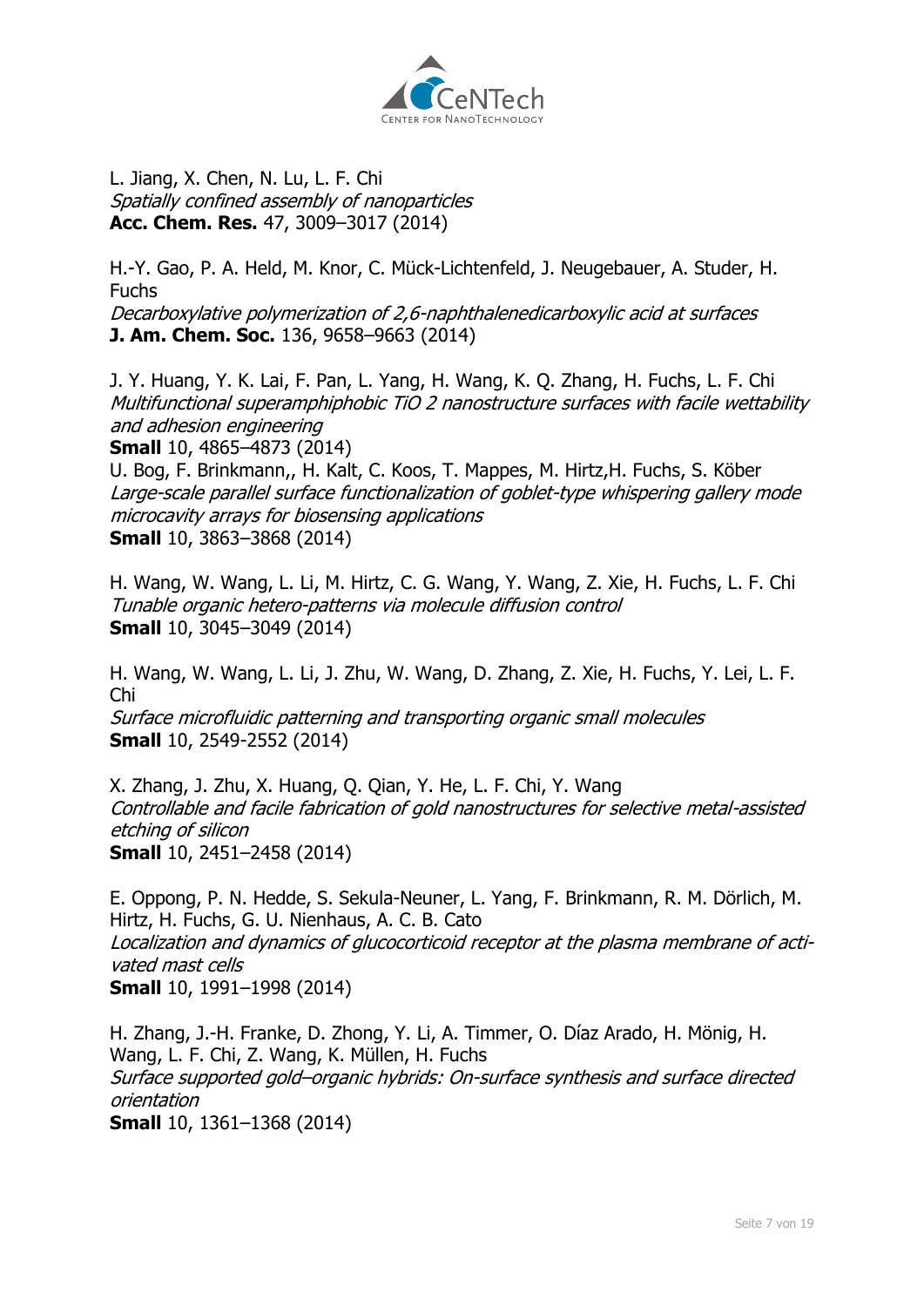

L. Jiang, X. Chen, N. Lu, [L. F. Chi](file://///SRV1-TF-MS/Physik.PI/Fuchs/groupmembers/groupmembers.html) Spatially confined assembly of nanoparticles **Acc. Chem. Res.** 47, 3009–3017 (2014)

[H.-Y. Gao,](file:///C:/Physik.PI/Fuchs/groupmembers/groupmembers.html) P. A. Held, [M. Knor,](file:///C:/Physik.PI/Fuchs/groupmembers/groupmembers.html) C. Mück-Lichtenfeld, J. Neugebauer, A. Studer, [H.](file:///C:/Physik.PI/Fuchs/groupmembers/groupmembers.html)  [Fuchs](file:///C:/Physik.PI/Fuchs/groupmembers/groupmembers.html) Decarboxylative polymerization of 2,6-naphthalenedicarboxylic acid at surfaces **J. Am. Chem. Soc.** 136, 9658–9663 (2014)

J. Y. Huang, Y. K. Lai, F. Pan, L. Yang, H. Wang, K. Q. Zhang, [H. Fuchs, L. F. Chi](file://///SRV1-TF-MS/Physik.PI/Fuchs/groupmembers/groupmembers.html) Multifunctional superamphiphobic TiO 2 nanostructure surfaces with facile wettability and adhesion engineering

**Small** 10, 4865–4873 (2014)

U. Bog, [F. Brinkmann,,](file://///SRV1-TF-MS/Physik.PI/Fuchs/former_groupmembers/former_groupmembers.html) H. Kalt, C. Koos, T. Mappes, [M. Hirtz](file://///SRV1-TF-MS/Physik.PI/Fuchs/former_groupmembers/former_groupmembers.html)[,H. Fuchs,](file://///SRV1-TF-MS/Physik.PI/Fuchs/groupmembers/groupmembers.html) S. Köber Large-scale parallel surface functionalization of goblet-type whispering gallery mode microcavity arrays for biosensing applications **Small** 10, 3863–3868 (2014)

H. Wang, [W. Wang,](file://///SRV1-TF-MS/Physik.PI/Fuchs/groupmembers/groupmembers.html) [L. Li, M. Hirtz,](file://///SRV1-TF-MS/Physik.PI/Fuchs/former_groupmembers/former_groupmembers.html) C. G. Wang, Y. Wang, Z. Xie, [H. Fuchs,](file://///SRV1-TF-MS/Physik.PI/Fuchs/groupmembers/groupmembers.html) [L. F. Chi](file://///SRV1-TF-MS/Physik.PI/Fuchs/groupmembers/groupmembers.html) Tunable organic hetero-patterns via molecule diffusion control **Small** 10, 3045–3049 (2014)

H. Wang, [W. Wang,](file://///SRV1-TF-MS/Physik.PI/Fuchs/groupmembers/groupmembers.html) [L. Li,](file://///SRV1-TF-MS/Physik.PI/Fuchs/former_groupmembers/former_groupmembers.html) [J. Zhu,](file://///SRV1-TF-MS/Physik.PI/Fuchs/groupmembers/groupmembers.html) W. Wang, D. Zhang, Z. Xie, [H. Fuchs,](file://///SRV1-TF-MS/Physik.PI/Fuchs/groupmembers/groupmembers.html) Y. Lei, [L. F.](file://///SRV1-TF-MS/Physik.PI/Fuchs/groupmembers/groupmembers.html)  [Chi](file://///SRV1-TF-MS/Physik.PI/Fuchs/groupmembers/groupmembers.html) Surface microfluidic patterning and transporting organic small molecules **Small** 10, 2549-2552 (2014)

X. Zhang, [J. Zhu,](file://///SRV1-TF-MS/Physik.PI/Fuchs/groupmembers/groupmembers.html) X. Huang, Q. Qian, Y. He, [L. F. Chi,](file://///SRV1-TF-MS/Physik.PI/Fuchs/groupmembers/groupmembers.html) Y. Wang Controllable and facile fabrication of gold nanostructures for selective metal-assisted etching of silicon **Small** 10, 2451–2458 (2014)

E. Oppong, P. N. Hedde, S. Sekula-Neuner, L. Yang, [F. Brinkmann,](file://///SRV1-TF-MS/Physik.PI/Fuchs/former_groupmembers/former_groupmembers.html) R. M. Dörlich, [M.](file://///SRV1-TF-MS/Physik.PI/Fuchs/former_groupmembers/former_groupmembers.html)  [Hirtz,](file://///SRV1-TF-MS/Physik.PI/Fuchs/former_groupmembers/former_groupmembers.html) [H. Fuchs,](file://///SRV1-TF-MS/Physik.PI/Fuchs/groupmembers/groupmembers.html) G. U. Nienhaus, A. C. B. Cato Localization and dynamics of glucocorticoid receptor at the plasma membrane of activated mast cells **Small** 10, 1991–1998 (2014)

[H. Zhang,](file:///C:/Physik.PI/Fuchs/former_groupmembers/former_groupmembers.html) [J.-H. Franke, D. Zhong,](file:///C:/Physik.PI/Fuchs/former_groupmembers/former_groupmembers.html) Y. Li, [A. Timmer,](file:///C:/Physik.PI/Fuchs/groupmembers/groupmembers.html) [O. Díaz Arado, H. Mönig,](file:///C:/Physik.PI/Fuchs/groupmembers/groupmembers.html) H. Wang, [L. F. Chi,](file:///C:/Physik.PI/Fuchs/groupmembers/groupmembers.html) Z. Wang, K. Müllen, [H. Fuchs](file:///C:/Physik.PI/Fuchs/groupmembers/groupmembers.html) Surface supported gold–organic hybrids: On-surface synthesis and surface directed orientation **Small** 10, 1361–1368 (2014)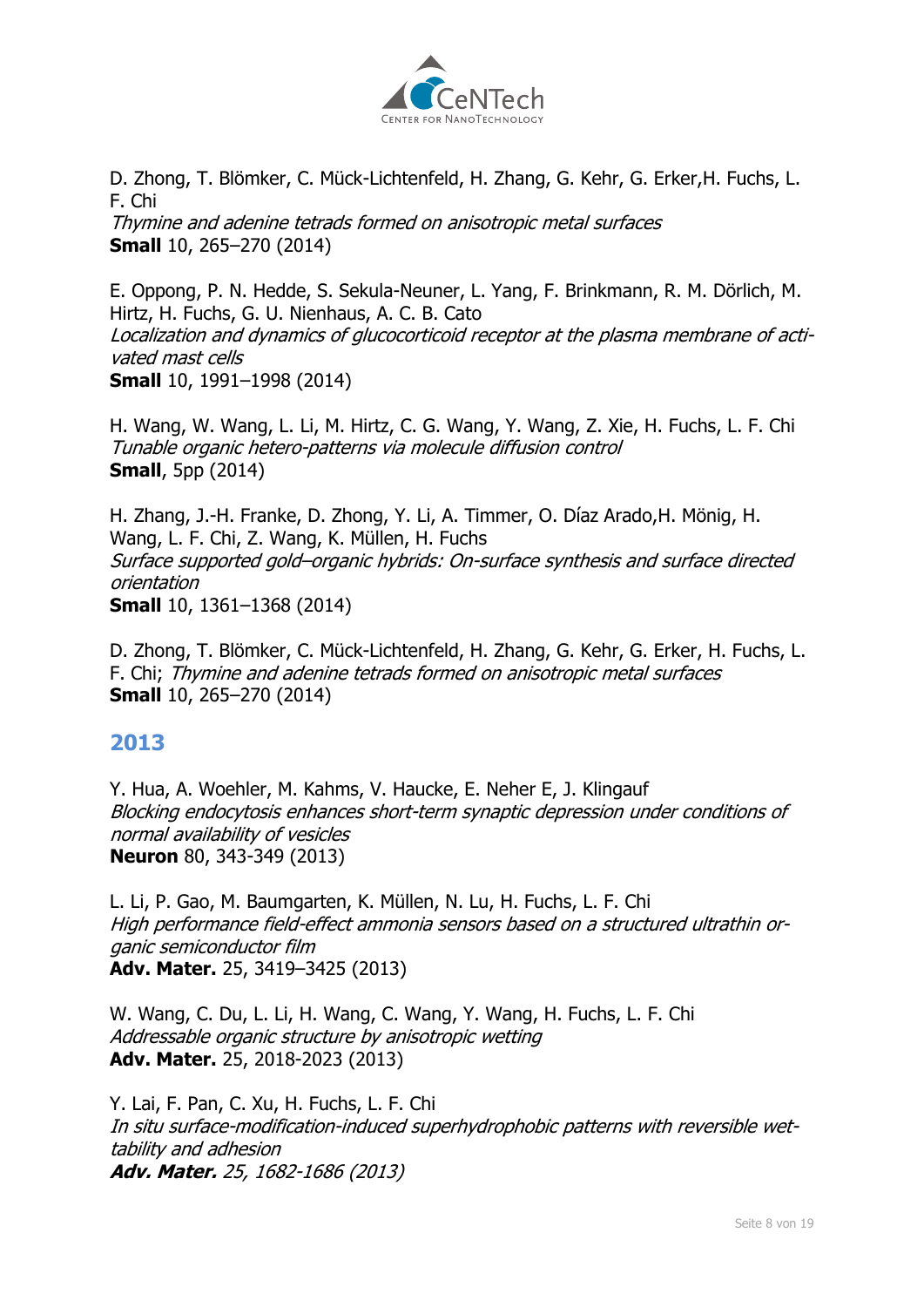

[D. Zhong,](file:///C:/Physik.PI/Fuchs/former_groupmembers/former_groupmembers.html) T. Blömker, C. Mück-Lichtenfeld, [H. Zhang,](file:///C:/Physik.PI/Fuchs/former_groupmembers/former_groupmembers.html) G. Kehr, G. Erker[,H. Fuchs,](file:///C:/Physik.PI/Fuchs/groupmembers/groupmembers.html) [L.](file:///C:/Physik.PI/Fuchs/groupmembers/groupmembers.html)  [F. Chi](file:///C:/Physik.PI/Fuchs/groupmembers/groupmembers.html)

Thymine and adenine tetrads formed on anisotropic metal surfaces **Small** 10, 265–270 (2014)

E. Oppong, P. N. Hedde, S. Sekula-Neuner, L. Yang, F. Brinkmann, R. M. Dörlich, M. Hirtz, H. Fuchs, G. U. Nienhaus, A. C. B. Cato Localization and dynamics of glucocorticoid receptor at the plasma membrane of activated mast cells **Small** 10, 1991–1998 (2014)

H. Wang, W. Wang, L. Li, M. Hirtz, C. G. Wang, Y. Wang, Z. Xie, H. Fuchs, L. F. Chi Tunable organic hetero-patterns via molecule diffusion control **Small**, 5pp (2014)

H. Zhang, J.-H. Franke, D. Zhong, Y. Li, A. Timmer, O. Díaz Arado,H. Mönig, H. Wang, L. F. Chi, Z. Wang, K. Müllen, H. Fuchs Surface supported gold–organic hybrids: On-surface synthesis and surface directed orientation **Small** 10, 1361–1368 (2014)

D. Zhong, T. Blömker, C. Mück-Lichtenfeld, H. Zhang, G. Kehr, G. Erker, H. Fuchs, L. F. Chi; Thymine and adenine tetrads formed on anisotropic metal surfaces **Small** 10, 265–270 (2014)

# **2013**

Y. Hua, A. Woehler, M. Kahms, V. Haucke, E. Neher E, J. Klingauf Blocking endocytosis enhances short-term synaptic depression under conditions of normal availability of vesicles **Neuron** 80, 343-349 (2013)

L. Li, P. Gao, M. Baumgarten, K. Müllen, N. Lu, H. Fuchs, L. F. Chi High performance field-effect ammonia sensors based on a structured ultrathin organic semiconductor film **Adv. Mater.** 25, 3419–3425 (2013)

W. Wang, C. Du, L. Li, H. Wang, C. Wang, Y. Wang, H. Fuchs, L. F. Chi Addressable organic structure by anisotropic wetting **Adv. Mater.** 25, 2018-2023 (2013)

Y. Lai, F. Pan, C. Xu, H. Fuchs, L. F. Chi In situ surface-modification-induced superhydrophobic patterns with reversible wettability and adhesion **Adv. Mater.** 25, 1682-1686 (2013)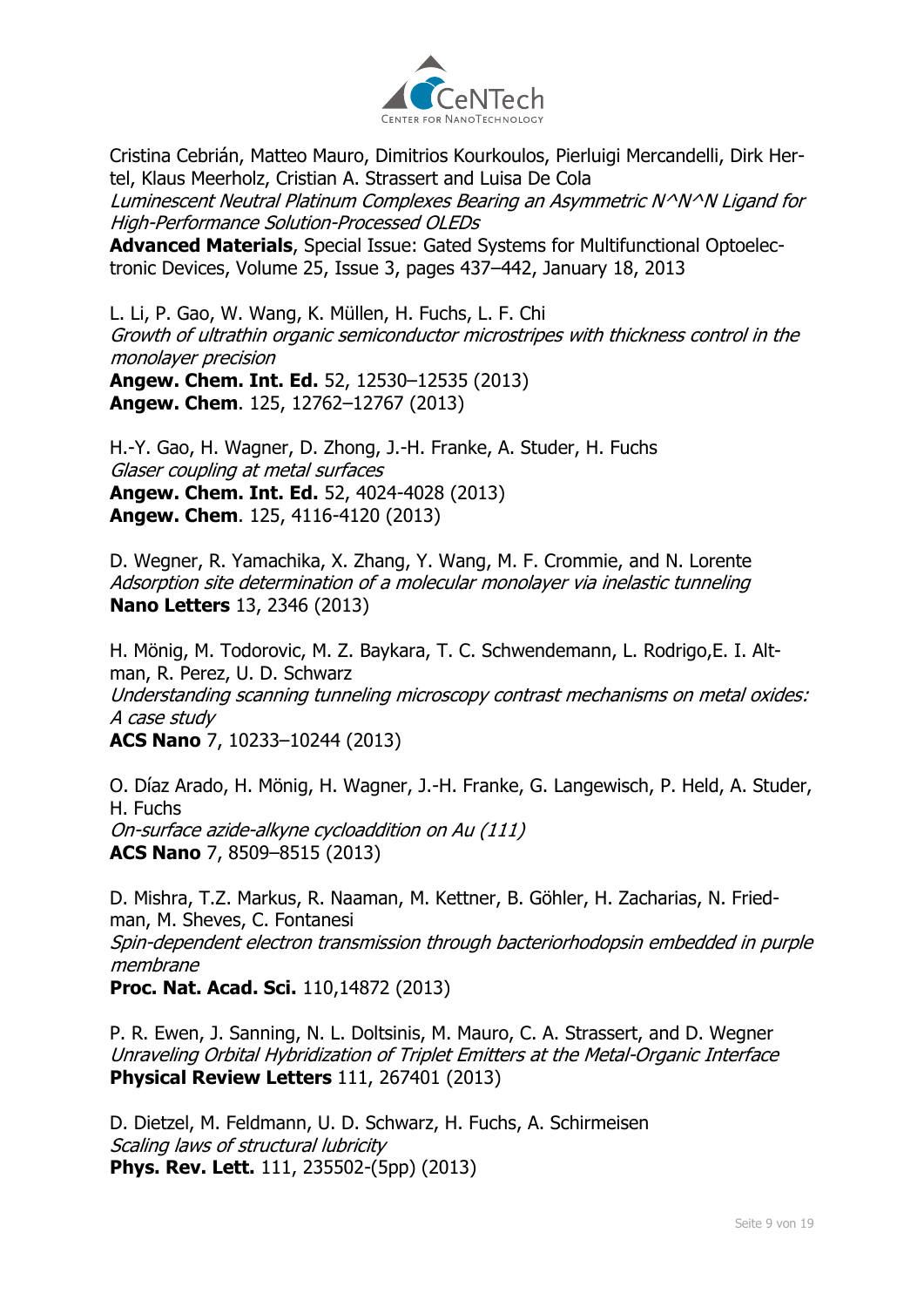

Cristina Cebrián, Matteo Mauro, Dimitrios Kourkoulos, Pierluigi Mercandelli, Dirk Hertel, Klaus Meerholz, Cristian A. Strassert and Luisa De Cola Luminescent Neutral Platinum Complexes Bearing an Asymmetric N^N^N Ligand for High-Performance Solution-Processed OLEDs **Advanced Materials**, Special Issue: Gated Systems for Multifunctional Optoelectronic Devices, Volume 25, Issue 3, pages 437–442, January 18, 2013

L. Li, P. Gao, W. Wang, K. Müllen, H. Fuchs, L. F. Chi Growth of ultrathin organic semiconductor microstripes with thickness control in the monolayer precision

**Angew. Chem. Int. Ed.** 52, 12530–12535 (2013) **Angew. Chem**. 125, 12762–12767 (2013)

H.-Y. Gao, H. Wagner, D. Zhong, J.-H. Franke, A. Studer, H. Fuchs Glaser coupling at metal surfaces **Angew. Chem. Int. Ed.** 52, 4024-4028 (2013) **Angew. Chem**. 125, 4116-4120 (2013)

D. Wegner, R. Yamachika, X. Zhang, Y. Wang, M. F. Crommie, and N. Lorente Adsorption site determination of a molecular monolayer via inelastic tunneling **Nano Letters** 13, 2346 (2013)

H. Mönig, M. Todorovic, M. Z. Baykara, T. C. Schwendemann, L. Rodrigo,E. I. Altman, R. Perez, U. D. Schwarz Understanding scanning tunneling microscopy contrast mechanisms on metal oxides: A case study **ACS Nano** 7, 10233–10244 (2013)

O. Díaz Arado, H. Mönig, H. Wagner, J.-H. Franke, G. Langewisch, P. Held, A. Studer, H. Fuchs On-surface azide-alkyne cycloaddition on Au (111) **ACS Nano** 7, 8509–8515 (2013)

D. Mishra, T.Z. Markus, R. Naaman, M. Kettner, B. Göhler, H. Zacharias, N. Friedman, M. Sheves, C. Fontanesi Spin-dependent electron transmission through bacteriorhodopsin embedded in purple membrane **Proc. Nat. Acad. Sci.** 110,14872 (2013)

P. R. Ewen, J. Sanning, N. L. Doltsinis, M. Mauro, C. A. Strassert, and D. Wegner Unraveling Orbital Hybridization of Triplet Emitters at the Metal-Organic Interface **Physical Review Letters** 111, 267401 (2013)

D. Dietzel, M. Feldmann, U. D. Schwarz, H. Fuchs, A. Schirmeisen Scaling laws of structural lubricity **Phys. Rev. Lett.** 111, 235502-(5pp) (2013)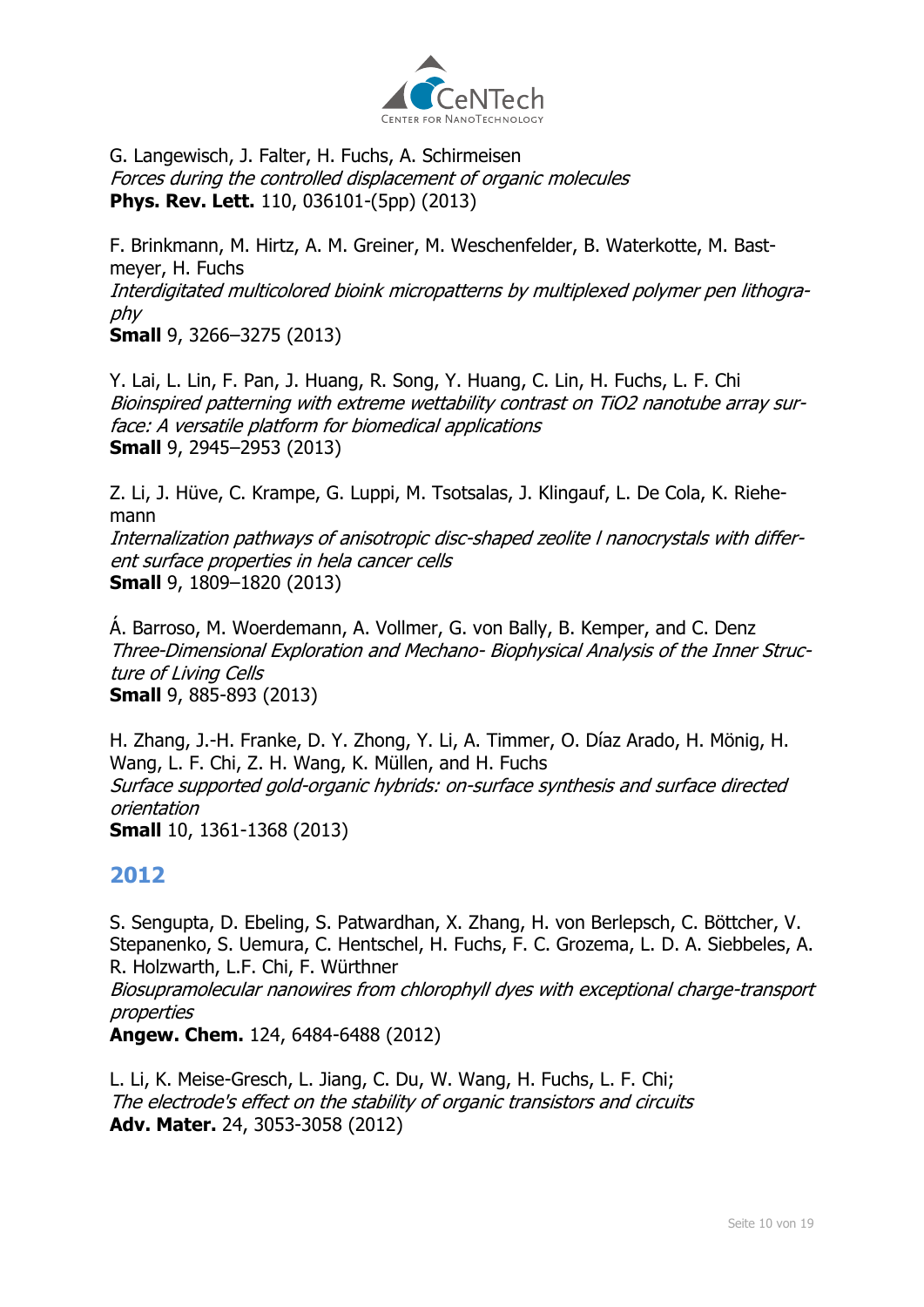

G. Langewisch, J. Falter, H. Fuchs, A. Schirmeisen Forces during the controlled displacement of organic molecules **Phys. Rev. Lett.** 110, 036101-(5pp) (2013)

F. Brinkmann, M. Hirtz, A. M. Greiner, M. Weschenfelder, B. Waterkotte, M. Bastmeyer, H. Fuchs Interdigitated multicolored bioink micropatterns by multiplexed polymer pen lithography **Small** 9, 3266–3275 (2013)

Y. Lai, L. Lin, F. Pan, J. Huang, R. Song, Y. Huang, C. Lin, H. Fuchs, L. F. Chi Bioinspired patterning with extreme wettability contrast on TiO2 nanotube array surface: A versatile platform for biomedical applications **Small** 9, 2945–2953 (2013)

Z. Li, J. Hüve, C. Krampe, G. Luppi, M. Tsotsalas, J. Klingauf, L. De Cola, K. Riehemann

Internalization pathways of anisotropic disc-shaped zeolite l nanocrystals with different surface properties in hela cancer cells **Small** 9, 1809–1820 (2013)

Á. Barroso, M. Woerdemann, A. Vollmer, G. von Bally, B. Kemper, and C. Denz Three-Dimensional Exploration and Mechano- Biophysical Analysis of the Inner Structure of Living Cells **Small** 9, 885-893 (2013)

H. Zhang, J.-H. Franke, D. Y. Zhong, Y. Li, A. Timmer, O. Díaz Arado, H. Mönig, H. Wang, L. F. Chi, Z. H. Wang, K. Müllen, and H. Fuchs Surface supported gold-organic hybrids: on-surface synthesis and surface directed orientation **Small** 10, 1361-1368 (2013)

# **2012**

S. Sengupta, D. Ebeling, S. Patwardhan, X. Zhang, H. von Berlepsch, C. Böttcher, V. Stepanenko, S. Uemura, C. Hentschel, H. Fuchs, F. C. Grozema, L. D. A. Siebbeles, A. R. Holzwarth, L.F. Chi, F. Würthner Biosupramolecular nanowires from chlorophyll dyes with exceptional charge-transport properties

**Angew. Chem.** 124, 6484-6488 (2012)

L. Li, K. Meise-Gresch, L. Jiang, C. Du, W. Wang, H. Fuchs, L. F. Chi; The electrode's effect on the stability of organic transistors and circuits **Adv. Mater.** 24, 3053-3058 (2012)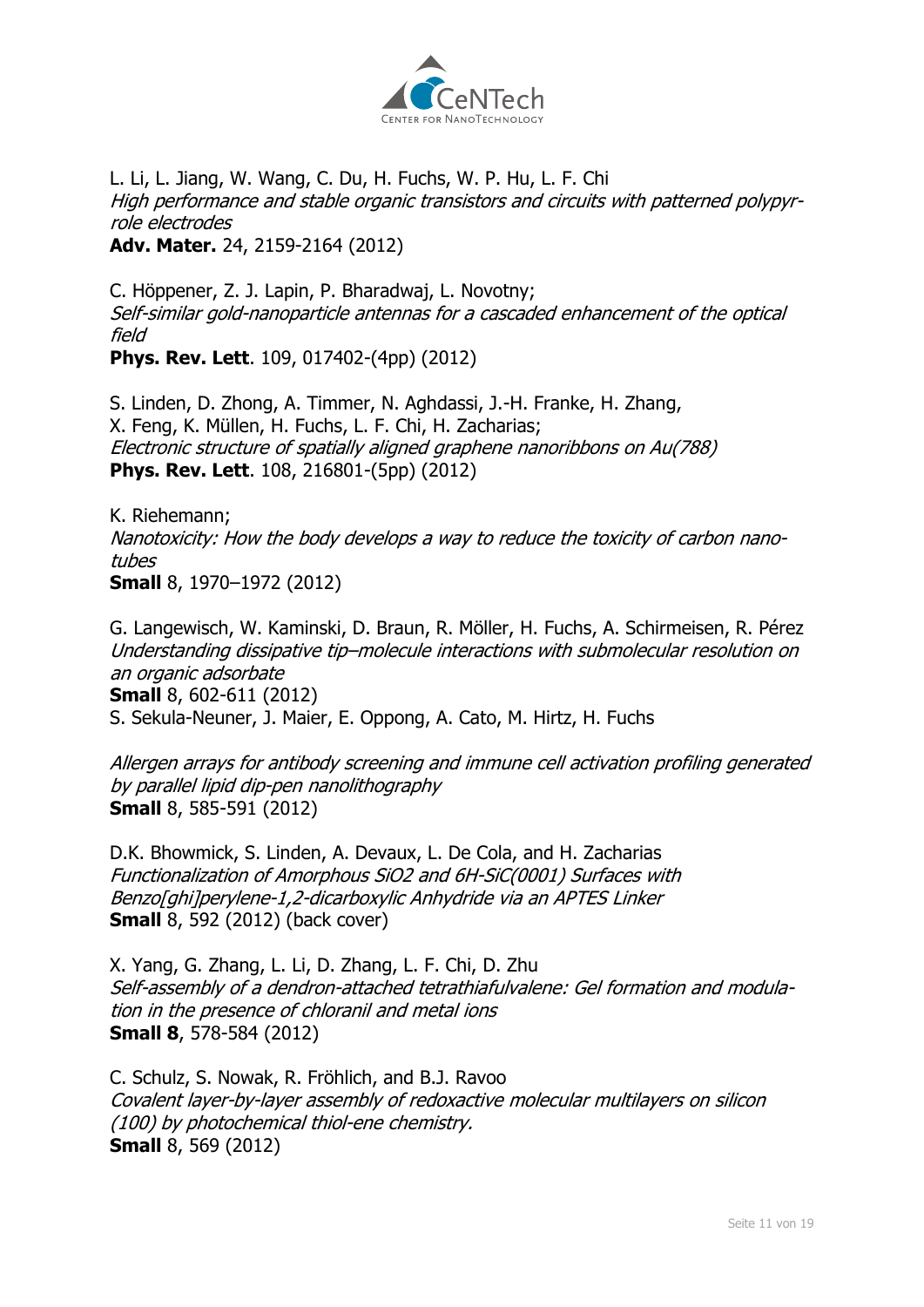

L. Li, L. Jiang, W. Wang, C. Du, H. Fuchs, W. P. Hu, L. F. Chi High performance and stable organic transistors and circuits with patterned polypyrrole electrodes **Adv. Mater.** 24, 2159-2164 (2012)

C. Höppener, Z. J. Lapin, P. Bharadwaj, L. Novotny; Self-similar gold-nanoparticle antennas for a cascaded enhancement of the optical field

**Phys. Rev. Lett**. 109, 017402-(4pp) (2012)

S. Linden, D. Zhong, A. Timmer, N. Aghdassi, J.-H. Franke, H. Zhang, X. Feng, K. Müllen, H. Fuchs, L. F. Chi, H. Zacharias; Electronic structure of spatially aligned graphene nanoribbons on Au(788) **Phys. Rev. Lett**. 108, 216801-(5pp) (2012)

K. Riehemann; Nanotoxicity: How the body develops a way to reduce the toxicity of carbon nanotubes **Small** 8, 1970–1972 (2012)

G. Langewisch, W. Kaminski, D. Braun, R. Möller, H. Fuchs, A. Schirmeisen, R. Pérez Understanding dissipative tip–molecule interactions with submolecular resolution on an organic adsorbate **Small** 8, 602-611 (2012) S. Sekula-Neuner, J. Maier, E. Oppong, A. Cato, M. Hirtz, H. Fuchs

Allergen arrays for antibody screening and immune cell activation profiling generated by parallel lipid dip-pen nanolithography **Small** 8, 585-591 (2012)

D.K. Bhowmick, S. Linden, A. Devaux, L. De Cola, and H. Zacharias Functionalization of Amorphous SiO2 and 6H-SiC(0001) Surfaces with Benzo[ghi]perylene-1,2-dicarboxylic Anhydride via an APTES Linker **Small** 8, 592 (2012) (back cover)

X. Yang, G. Zhang, L. Li, D. Zhang, L. F. Chi, D. Zhu Self-assembly of a dendron-attached tetrathiafulvalene: Gel formation and modulation in the presence of chloranil and metal ions **Small 8**, 578-584 (2012)

C. Schulz, S. Nowak, R. Fröhlich, and B.J. Ravoo Covalent layer-by-layer assembly of redoxactive molecular multilayers on silicon (100) by photochemical thiol-ene chemistry. **Small** 8, 569 (2012)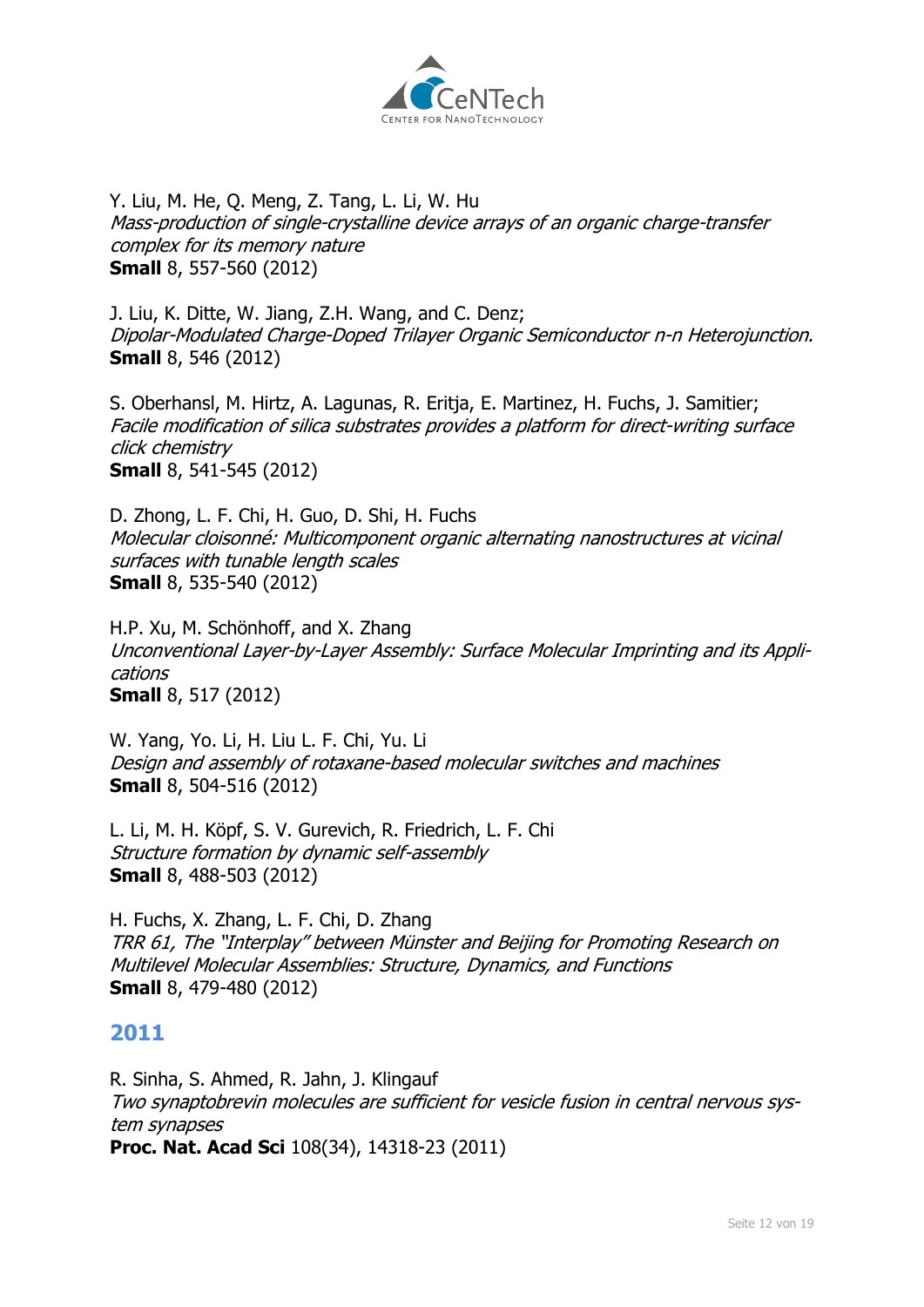

Y. Liu, M. He, Q. Meng, Z. Tang, L. Li, W. Hu Mass-production of single-crystalline device arrays of an organic charge-transfer complex for its memory nature **Small** 8, 557-560 (2012)

J. Liu, K. Ditte, W. Jiang, Z.H. Wang, and C. Denz; Dipolar-Modulated Charge-Doped Trilayer Organic Semiconductor n-n Heterojunction. **Small** 8, 546 (2012)

S. Oberhansl, M. Hirtz, A. Lagunas, R. Eritja, E. Martinez, H. Fuchs, J. Samitier; Facile modification of silica substrates provides a platform for direct-writing surface click chemistry **Small** 8, 541-545 (2012)

D. Zhong, L. F. Chi, H. Guo, D. Shi, H. Fuchs Molecular cloisonné: Multicomponent organic alternating nanostructures at vicinal surfaces with tunable length scales **Small** 8, 535-540 (2012)

H.P. Xu, M. Schönhoff, and X. Zhang Unconventional Layer-by-Layer Assembly: Surface Molecular Imprinting and its Applications **Small** 8, 517 (2012)

W. Yang, Yo. Li, H. Liu L. F. Chi, Yu. Li Design and assembly of rotaxane-based molecular switches and machines **Small** 8, 504-516 (2012)

L. Li, M. H. Köpf, S. V. Gurevich, R. Friedrich, L. F. Chi Structure formation by dynamic self-assembly **Small** 8, 488-503 (2012)

H. Fuchs, X. Zhang, L. F. Chi, D. Zhang TRR 61, The "Interplay" between Münster and Beijing for Promoting Research on Multilevel Molecular Assemblies: Structure, Dynamics, and Functions **Small** 8, 479-480 (2012)

#### **2011**

R. Sinha, S. Ahmed, R. Jahn, J. Klingauf Two synaptobrevin molecules are sufficient for vesicle fusion in central nervous system synapses **Proc. Nat. Acad Sci** 108(34), 14318-23 (2011)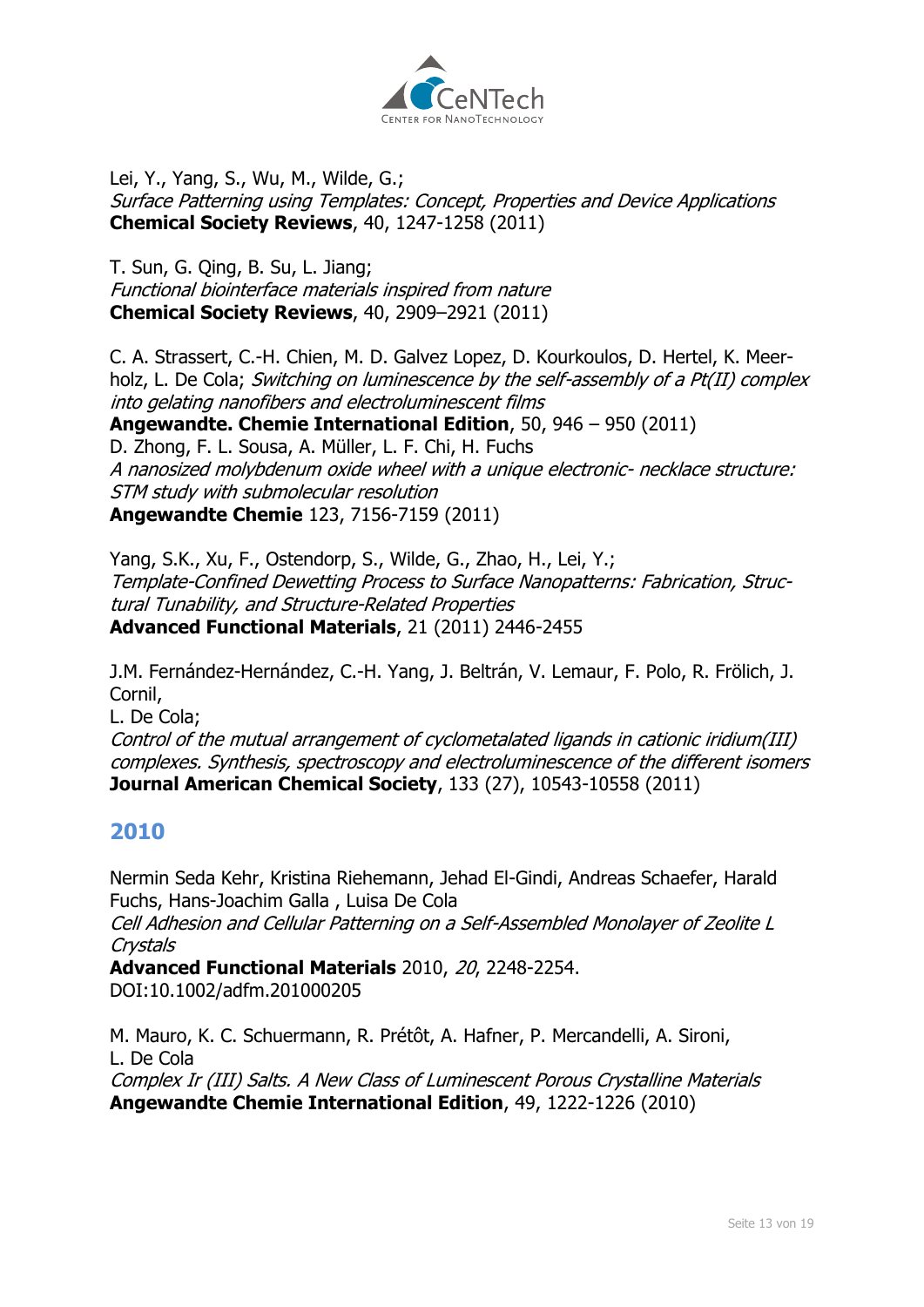

Lei, Y., Yang, S., Wu, M., Wilde, G.; Surface Patterning using Templates: Concept, Properties and Device Applications **Chemical Society Reviews**, 40, 1247-1258 (2011)

[T. Sun,](http://www.uni-muenster.de/Physik.PI/Fuchs/groupmembers/groupmembers.html#sunt) [G. Qing,](http://www.uni-muenster.de/Physik.PI/Fuchs/former_groupmembers/former_groupmembers.html#qing) B. Su, L. Jiang; Functional biointerface materials inspired from nature **Chemical Society Reviews**, 40, 2909–2921 (2011)

C. A. Strassert, C.-H. Chien, M. D. Galvez Lopez, D. Kourkoulos, D. Hertel, K. Meerholz, L. De Cola; Switching on luminescence by the self-assembly of a Pt(II) complex into gelating nanofibers and electroluminescent films

**Angewandte. Chemie International Edition**, 50, 946 – 950 (2011) D. Zhong, F. L. Sousa, A. Müller, L. F. Chi, H. Fuchs A nanosized molybdenum oxide wheel with a unique electronic- necklace structure: STM study with submolecular resolution **Angewandte Chemie** 123, 7156-7159 (2011)

Yang, S.K., Xu, F., Ostendorp, S., Wilde, G., Zhao, H., Lei, Y.; Template-Confined Dewetting Process to Surface Nanopatterns: Fabrication, Structural Tunability, and Structure-Related Properties **Advanced Functional Materials**, 21 (2011) 2446-2455

J.M. Fernández-Hernández, C.-H. Yang, J. Beltrán, V. Lemaur, F. Polo, R. Frölich, J. Cornil,

L. De Cola;

Control of the mutual arrangement of cyclometalated ligands in cationic iridium(III) complexes. Synthesis, spectroscopy and electroluminescence of the different isomers **Journal American Chemical Society**, 133 (27), 10543-10558 (2011)

# **2010**

Nermin Seda Kehr, Kristina Riehemann, Jehad El-Gindi, Andreas Schaefer, Harald Fuchs, Hans-Joachim Galla , Luisa De Cola

Cell Adhesion and Cellular Patterning on a Self-Assembled Monolayer of Zeolite L Crystals

**Advanced Functional Materials** 2010, 20, 2248-2254. DOI:10.1002/adfm.201000205

M. Mauro, K. C. Schuermann, R. Prétôt, A. Hafner, P. Mercandelli, A. Sironi, L. De Cola Complex Ir (III) Salts. A New Class of Luminescent Porous Crystalline Materials

**Angewandte Chemie International Edition**, 49, 1222-1226 (2010)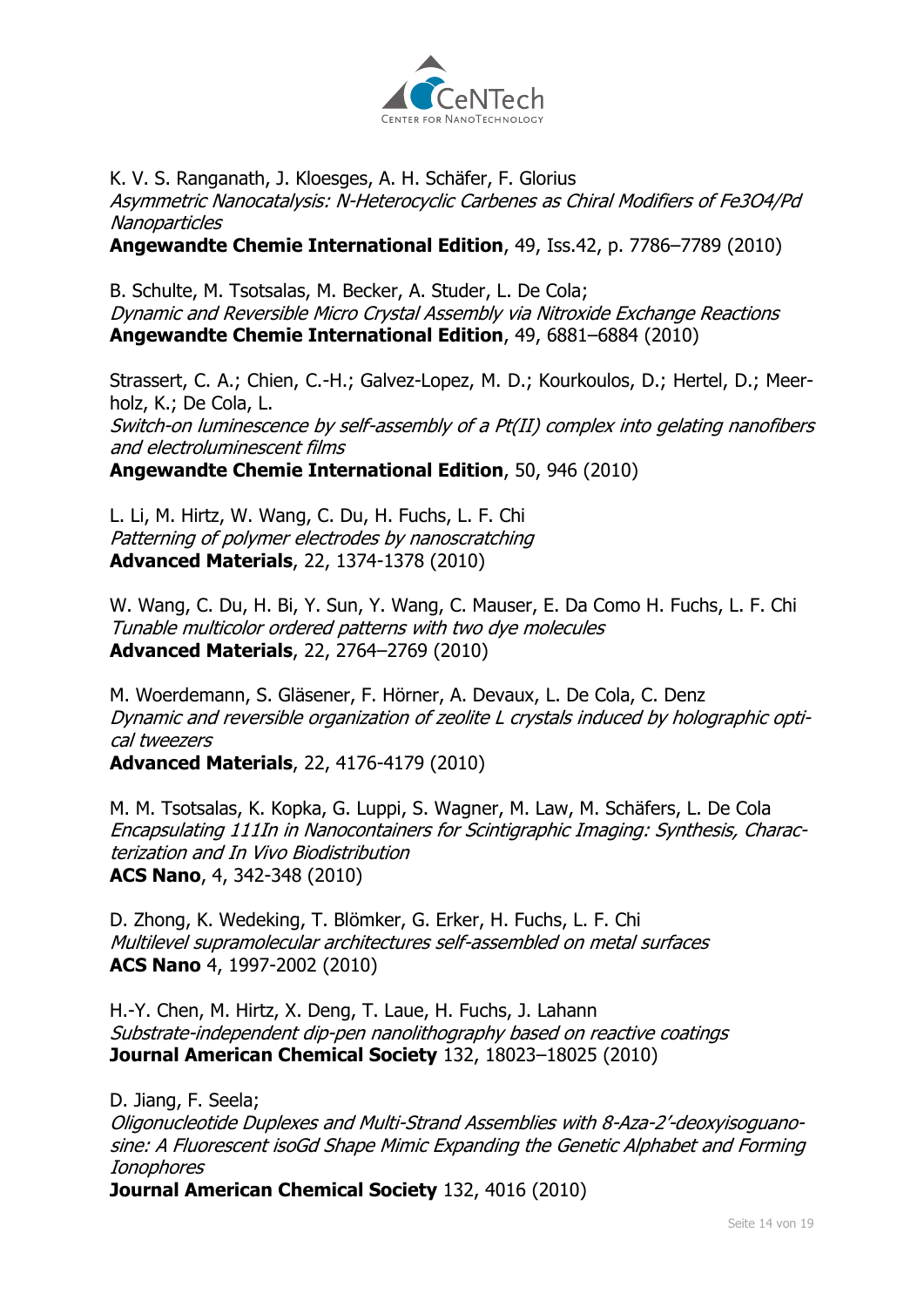

K. V. S. Ranganath, J. Kloesges, A. H. Schäfer, F. Glorius Asymmetric Nanocatalysis: N-Heterocyclic Carbenes as Chiral Modifiers of Fe3O4/Pd Nanoparticles

**Angewandte Chemie International Edition**, 49, Iss.42, p. 7786–7789 (2010)

B. Schulte, M. Tsotsalas, M. Becker, A. Studer, L. De Cola; Dynamic and Reversible Micro Crystal Assembly via Nitroxide Exchange Reactions **Angewandte Chemie International Edition**, 49, 6881–6884 (2010)

Strassert, C. A.; Chien, C.-H.; Galvez-Lopez, M. D.; Kourkoulos, D.; Hertel, D.; Meerholz, K.; De Cola, L. Switch-on luminescence by self-assembly of a Pt(II) complex into gelating nanofibers and electroluminescent films **Angewandte Chemie International Edition**, 50, 946 (2010)

L. Li, M. Hirtz, W. Wang, C. Du, H. Fuchs, L. F. Chi Patterning of polymer electrodes by nanoscratching **Advanced Materials**, 22, 1374-1378 (2010)

W. Wang, C. Du, H. Bi, Y. Sun, Y. Wang, C. Mauser, E. Da Como H. Fuchs, L. F. Chi Tunable multicolor ordered patterns with two dye molecules **Advanced Materials**, 22, 2764–2769 (2010)

M. Woerdemann, S. Gläsener, F. Hörner, A. Devaux, L. De Cola, C. Denz Dynamic and reversible organization of zeolite L crystals induced by holographic optical tweezers **Advanced Materials**, 22, 4176-4179 (2010)

M. M. Tsotsalas, K. Kopka, G. Luppi, S. Wagner, M. Law, M. Schäfers, L. De Cola Encapsulating 111In in Nanocontainers for Scintigraphic Imaging: Synthesis, Charac-

terization and In Vivo Biodistribution **ACS Nano**, 4, 342-348 (2010)

D. Zhong, K. Wedeking, T. Blömker, G. Erker, H. Fuchs, L. F. Chi Multilevel supramolecular architectures self-assembled on metal surfaces **ACS Nano** 4, 1997-2002 (2010)

H.-Y. Chen, M. Hirtz, X. Deng, T. Laue, H. Fuchs, J. Lahann Substrate-independent dip-pen nanolithography based on reactive coatings **Journal American Chemical Society** 132, 18023–18025 (2010)

D. Jiang, F. Seela;

Oligonucleotide Duplexes and Multi-Strand Assemblies with 8-Aza-2'-deoxyisoguanosine: A Fluorescent isoGd Shape Mimic Expanding the Genetic Alphabet and Forming Ionophores

**Journal American Chemical Society** 132, 4016 (2010)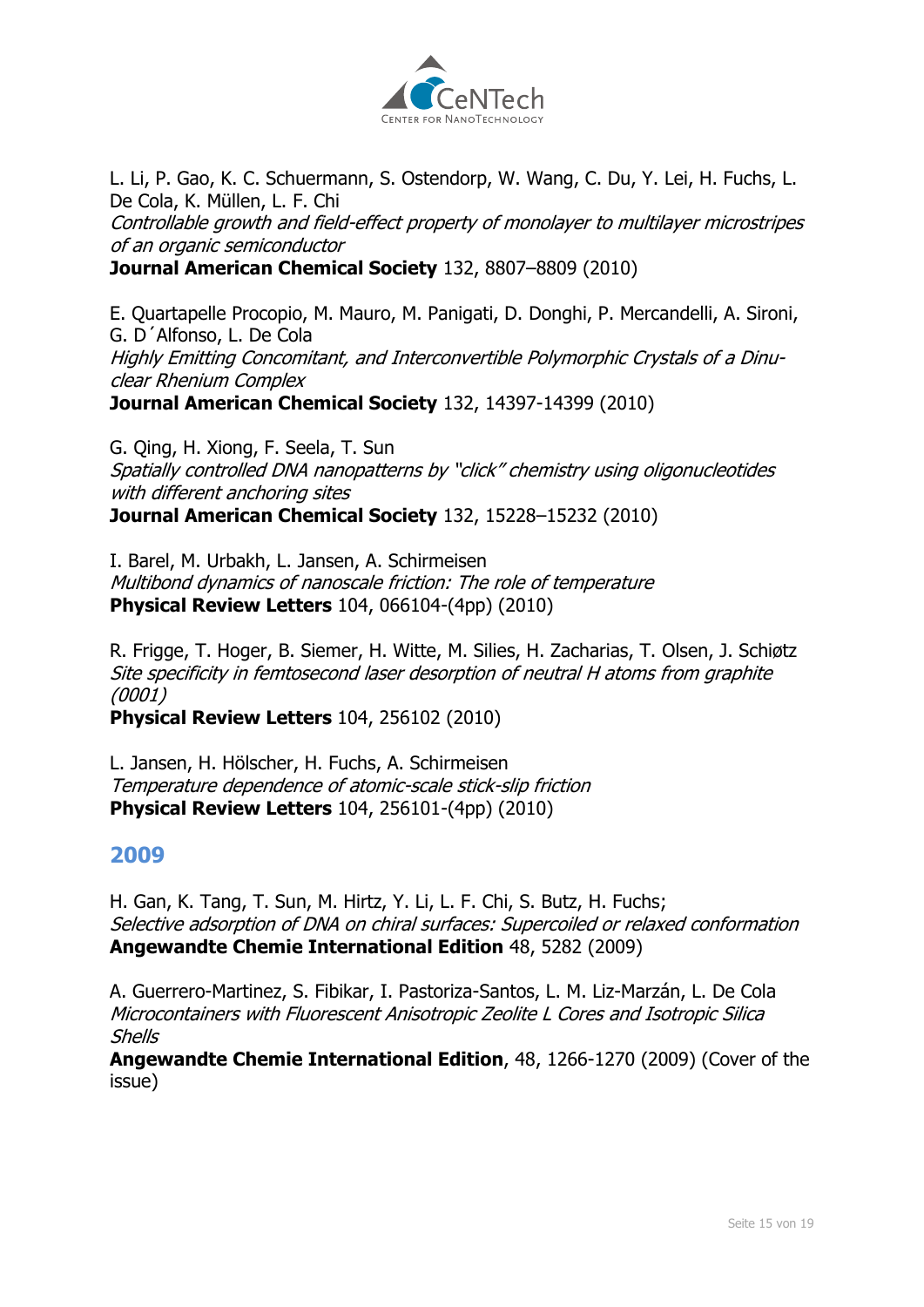

L. Li, P. Gao, K. C. Schuermann, S. Ostendorp, W. Wang, C. Du, Y. Lei, H. Fuchs, L. De Cola, K. Müllen, L. F. Chi

Controllable growth and field-effect property of monolayer to multilayer microstripes of an organic semiconductor

**Journal American Chemical Society** 132, 8807–8809 (2010)

E. Quartapelle Procopio, M. Mauro, M. Panigati, D. Donghi, P. Mercandelli, A. Sironi, G. D´Alfonso, L. De Cola Highly Emitting Concomitant, and Interconvertible Polymorphic Crystals of a Dinuclear Rhenium Complex **Journal American Chemical Society** 132, 14397-14399 (2010)

G. Qing, H. Xiong, F. Seela, T. Sun Spatially controlled DNA nanopatterns by "click" chemistry using oligonucleotides with different anchoring sites

**Journal American Chemical Society** 132, 15228–15232 (2010)

I. Barel, M. Urbakh, L. Jansen, A. Schirmeisen Multibond dynamics of nanoscale friction: The role of temperature **Physical Review Letters** 104, 066104-(4pp) (2010)

R. Frigge, T. Hoger, B. Siemer, H. Witte, M. Silies, H. Zacharias, T. Olsen, J. Schiøtz Site specificity in femtosecond laser desorption of neutral H atoms from graphite (0001)

**Physical Review Letters** 104, 256102 (2010)

L. Jansen, H. Hölscher, H. Fuchs, A. Schirmeisen Temperature dependence of atomic-scale stick-slip friction **Physical Review Letters** 104, 256101-(4pp) (2010)

# **2009**

H. Gan, K. Tang, T. Sun, M. Hirtz, Y. Li, L. F. Chi, S. Butz, H. Fuchs; Selective adsorption of DNA on chiral surfaces: Supercoiled or relaxed conformation **Angewandte Chemie International Edition** 48, 5282 (2009)

A. Guerrero-Martinez, S. Fibikar, I. Pastoriza-Santos, L. M. Liz-Marzán, L. De Cola Microcontainers with Fluorescent Anisotropic Zeolite L Cores and Isotropic Silica Shells

**Angewandte Chemie International Edition**, 48, 1266-1270 (2009) (Cover of the issue)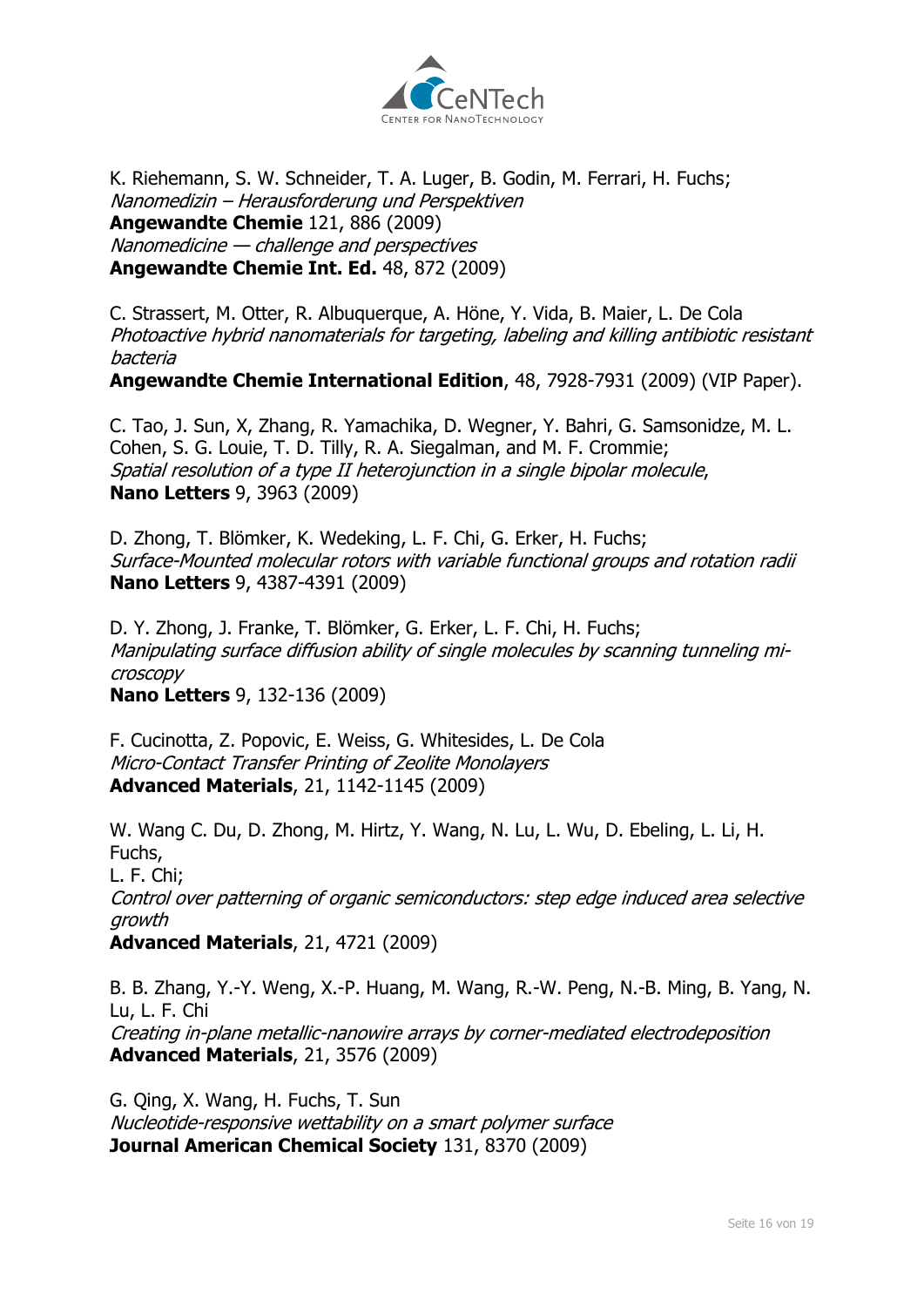

K. Riehemann, S. W. Schneider, T. A. Luger, B. Godin, M. Ferrari, H. Fuchs; Nanomedizin – Herausforderung und Perspektiven **Angewandte Chemie** 121, 886 (2009) Nanomedicine — challenge and perspectives **Angewandte Chemie Int. Ed.** 48, 872 (2009)

C. Strassert, M. Otter, R. Albuquerque, A. Höne, Y. Vida, B. Maier, L. De Cola Photoactive hybrid nanomaterials for targeting, labeling and killing antibiotic resistant bacteria

**Angewandte Chemie International Edition**, 48, 7928-7931 (2009) (VIP Paper).

C. Tao, J. Sun, X, Zhang, R. Yamachika, D. Wegner, Y. Bahri, G. Samsonidze, M. L. Cohen, S. G. Louie, T. D. Tilly, R. A. Siegalman, and M. F. Crommie; Spatial resolution of a type II heterojunction in a single bipolar molecule, **Nano Letters** 9, 3963 (2009)

D. Zhong, T. Blömker, K. Wedeking, L. F. Chi, G. Erker, H. Fuchs; Surface-Mounted molecular rotors with variable functional groups and rotation radii **Nano Letters** 9, 4387-4391 (2009)

D. Y. Zhong, J. Franke, T. Blömker, G. Erker, L. F. Chi, H. Fuchs; Manipulating surface diffusion ability of single molecules by scanning tunneling microscopy **Nano Letters** 9, 132-136 (2009)

F. Cucinotta, Z. Popovic, E. Weiss, G. Whitesides, L. De Cola Micro-Contact Transfer Printing of Zeolite Monolayers **Advanced Materials**, 21, 1142-1145 (2009)

W. Wang C. Du, D. Zhong, M. Hirtz, Y. Wang, N. Lu, L. Wu, D. Ebeling, L. Li, H.

Fuchs, L. F. Chi; Control over patterning of organic semiconductors: step edge induced area selective growth **Advanced Materials**, 21, 4721 (2009)

B. B. Zhang, Y.-Y. Weng, X.-P. Huang, M. Wang, R.-W. Peng, N.-B. Ming, B. Yang, N. Lu, L. F. Chi Creating in-plane metallic-nanowire arrays by corner-mediated electrodeposition **Advanced Materials**, 21, 3576 (2009)

G. Qing, X. Wang, H. Fuchs, T. Sun Nucleotide-responsive wettability on a smart polymer surface **Journal American Chemical Society** 131, 8370 (2009)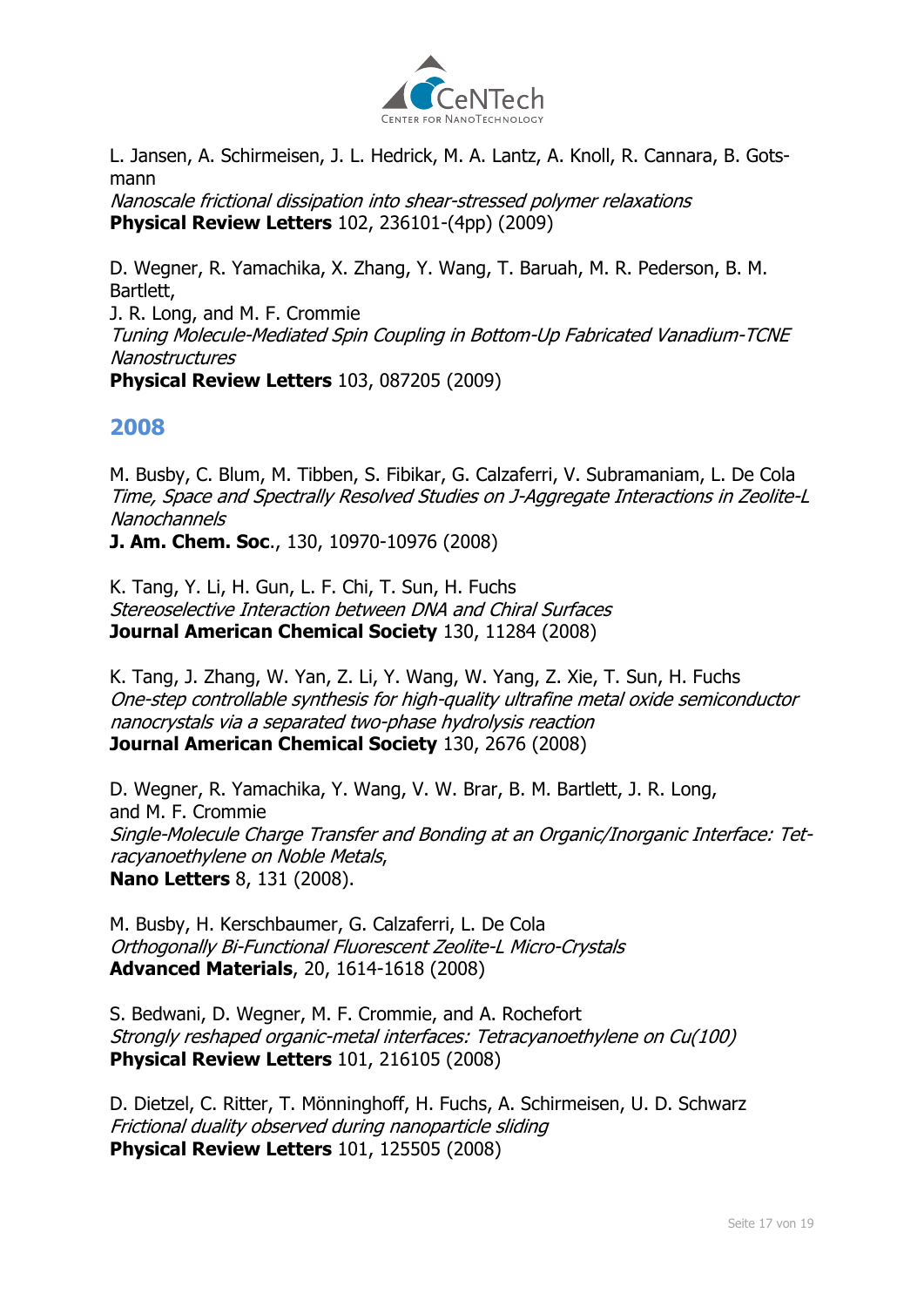

L. Jansen, A. Schirmeisen, J. L. Hedrick, M. A. Lantz, A. Knoll, R. Cannara, B. Gotsmann

Nanoscale frictional dissipation into shear-stressed polymer relaxations **Physical Review Letters** 102, 236101-(4pp) (2009)

D. Wegner, R. Yamachika, X. Zhang, Y. Wang, T. Baruah, M. R. Pederson, B. M. Bartlett, J. R. Long, and M. F. Crommie Tuning Molecule-Mediated Spin Coupling in Bottom-Up Fabricated Vanadium-TCNE **Nanostructures** 

**Physical Review Letters** 103, 087205 (2009)

# **2008**

M. Busby, C. Blum, M. Tibben, S. Fibikar, G. Calzaferri, V. Subramaniam, L. De Cola Time, Space and Spectrally Resolved Studies on J-Aggregate Interactions in Zeolite-L Nanochannels

**J. Am. Chem. Soc**., 130, 10970-10976 (2008)

K. Tang, Y. Li, H. Gun, L. F. Chi, T. Sun, H. Fuchs Stereoselective Interaction between DNA and Chiral Surfaces **Journal American Chemical Society** 130, 11284 (2008)

K. Tang, J. Zhang, W. Yan, Z. Li, Y. Wang, W. Yang, Z. Xie, T. Sun, H. Fuchs One-step controllable synthesis for high-quality ultrafine metal oxide semiconductor nanocrystals via a separated two-phase hydrolysis reaction **Journal American Chemical Society** 130, 2676 (2008)

D. Wegner, R. Yamachika, Y. Wang, V. W. Brar, B. M. Bartlett, J. R. Long, and M. F. Crommie Single-Molecule Charge Transfer and Bonding at an Organic/Inorganic Interface: Tetracyanoethylene on Noble Metals, **Nano Letters** 8, 131 (2008).

M. Busby, H. Kerschbaumer, G. Calzaferri, L. De Cola Orthogonally Bi-Functional Fluorescent Zeolite-L Micro-Crystals **Advanced Materials**, 20, 1614-1618 (2008)

S. Bedwani, D. Wegner, M. F. Crommie, and A. Rochefort Strongly reshaped organic-metal interfaces: Tetracyanoethylene on Cu(100) **Physical Review Letters** 101, 216105 (2008)

D. Dietzel, C. Ritter, T. Mönninghoff, H. Fuchs, A. Schirmeisen, U. D. Schwarz Frictional duality observed during nanoparticle sliding **Physical Review Letters** 101, 125505 (2008)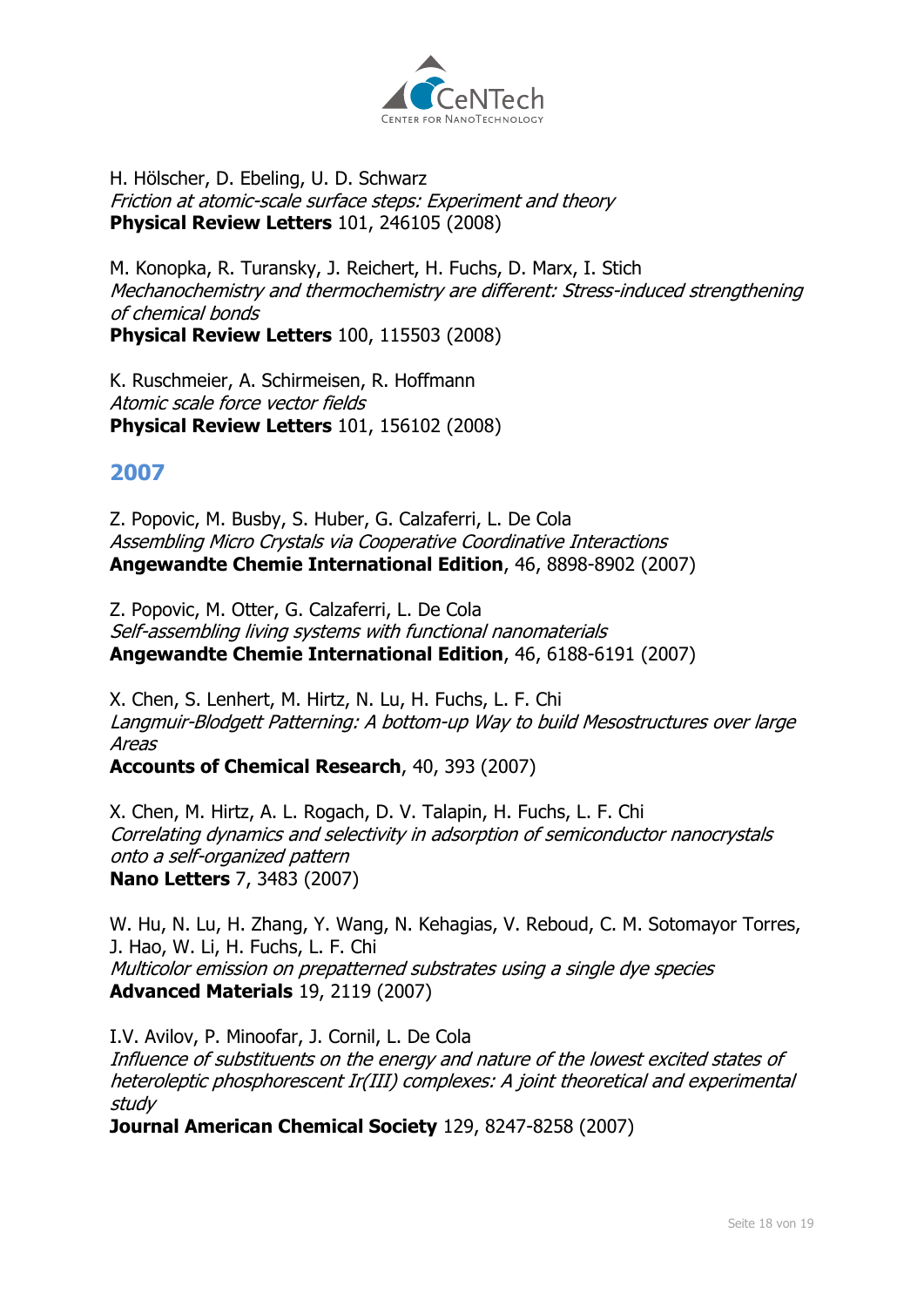

H. Hölscher, D. Ebeling, U. D. Schwarz Friction at atomic-scale surface steps: Experiment and theory **Physical Review Letters** 101, 246105 (2008)

M. Konopka, R. Turansky, J. Reichert, H. Fuchs, D. Marx, I. Stich Mechanochemistry and thermochemistry are different: Stress-induced strengthening of chemical bonds **Physical Review Letters** 100, 115503 (2008)

K. Ruschmeier, A. Schirmeisen, R. Hoffmann Atomic scale force vector fields **Physical Review Letters** 101, 156102 (2008)

# **2007**

Z. Popovic, M. Busby, S. Huber, G. Calzaferri, L. De Cola Assembling Micro Crystals via Cooperative Coordinative Interactions **Angewandte Chemie International Edition**, 46, 8898-8902 (2007)

Z. Popovic, M. Otter, G. Calzaferri, L. De Cola Self-assembling living systems with functional nanomaterials **Angewandte Chemie International Edition**, 46, 6188-6191 (2007)

X. Chen, S. Lenhert, M. Hirtz, N. Lu, H. Fuchs, L. F. Chi Langmuir-Blodgett Patterning: A bottom-up Way to build Mesostructures over large Areas

**Accounts of Chemical Research**, 40, 393 (2007)

X. Chen, M. Hirtz, A. L. Rogach, D. V. Talapin, H. Fuchs, L. F. Chi Correlating dynamics and selectivity in adsorption of semiconductor nanocrystals onto a self-organized pattern **Nano Letters** 7, 3483 (2007)

W. Hu, N. Lu, H. Zhang, Y. Wang, N. Kehagias, V. Reboud, C. M. Sotomayor Torres, J. Hao, W. Li, H. Fuchs, L. F. Chi Multicolor emission on prepatterned substrates using a single dye species **Advanced Materials** 19, 2119 (2007)

I.V. Avilov, P. Minoofar, J. Cornil, L. De Cola Influence of substituents on the energy and nature of the lowest excited states of heteroleptic phosphorescent Ir(III) complexes: A joint theoretical and experimental study

**Journal American Chemical Society** 129, 8247-8258 (2007)